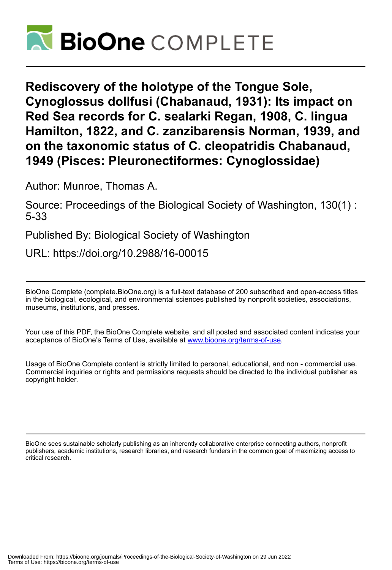

**Rediscovery of the holotype of the Tongue Sole, Cynoglossus dollfusi (Chabanaud, 1931): Its impact on Red Sea records for C. sealarki Regan, 1908, C. lingua Hamilton, 1822, and C. zanzibarensis Norman, 1939, and on the taxonomic status of C. cleopatridis Chabanaud, 1949 (Pisces: Pleuronectiformes: Cynoglossidae)**

Author: Munroe, Thomas A.

Source: Proceedings of the Biological Society of Washington, 130(1) : 5-33

Published By: Biological Society of Washington

URL: https://doi.org/10.2988/16-00015

BioOne Complete (complete.BioOne.org) is a full-text database of 200 subscribed and open-access titles in the biological, ecological, and environmental sciences published by nonprofit societies, associations, museums, institutions, and presses.

Your use of this PDF, the BioOne Complete website, and all posted and associated content indicates your acceptance of BioOne's Terms of Use, available at www.bioone.org/terms-of-use.

Usage of BioOne Complete content is strictly limited to personal, educational, and non - commercial use. Commercial inquiries or rights and permissions requests should be directed to the individual publisher as copyright holder.

BioOne sees sustainable scholarly publishing as an inherently collaborative enterprise connecting authors, nonprofit publishers, academic institutions, research libraries, and research funders in the common goal of maximizing access to critical research.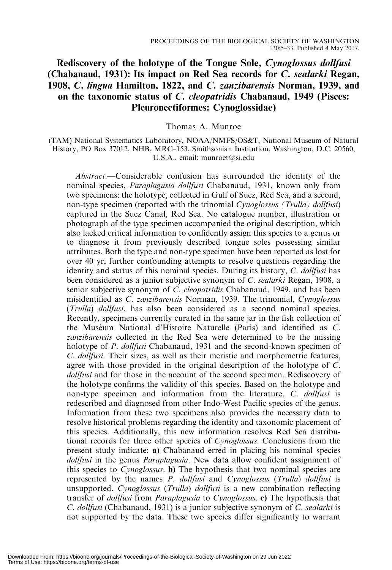# Rediscovery of the holotype of the Tongue Sole, Cynoglossus dollfusi (Chabanaud, 1931): Its impact on Red Sea records for C. sealarki Regan, 1908, C. lingua Hamilton, 1822, and C. zanzibarensis Norman, 1939, and on the taxonomic status of C. cleopatridis Chabanaud, 1949 (Pisces: Pleuronectiformes: Cynoglossidae)

Thomas A. Munroe

(TAM) National Systematics Laboratory, NOAA/NMFS/OS&T, National Museum of Natural History, PO Box 37012, NHB, MRC–153, Smithsonian Institution, Washington, D.C. 20560, U.S.A., email: munroet@si.edu

Abstract.—Considerable confusion has surrounded the identity of the nominal species, Paraplagusia dollfusi Chabanaud, 1931, known only from two specimens: the holotype, collected in Gulf of Suez, Red Sea, and a second, non-type specimen (reported with the trinomial *Cynoglossus (Trulla) dollfusi*) captured in the Suez Canal, Red Sea. No catalogue number, illustration or photograph of the type specimen accompanied the original description, which also lacked critical information to confidently assign this species to a genus or to diagnose it from previously described tongue soles possessing similar attributes. Both the type and non-type specimen have been reported as lost for over 40 yr, further confounding attempts to resolve questions regarding the identity and status of this nominal species. During its history, C. dollfusi has been considered as a junior subjective synonym of C. sealarki Regan, 1908, a senior subjective synonym of C. cleopatridis Chabanaud, 1949, and has been misidentified as C. zanzibarensis Norman, 1939. The trinomial, Cynoglossus (Trulla) dollfusi, has also been considered as a second nominal species. Recently, specimens currently curated in the same jar in the fish collection of the Muséum National d'Histoire Naturelle (Paris) and identified as C. zanzibarensis collected in the Red Sea were determined to be the missing holotype of *P. dollfusi* Chabanaud, 1931 and the second-known specimen of C. dollfusi. Their sizes, as well as their meristic and morphometric features, agree with those provided in the original description of the holotype of C. dollfusi and for those in the account of the second specimen. Rediscovery of the holotype confirms the validity of this species. Based on the holotype and non-type specimen and information from the literature, C. *dollfusi* is redescribed and diagnosed from other Indo-West Pacific species of the genus. Information from these two specimens also provides the necessary data to resolve historical problems regarding the identity and taxonomic placement of this species. Additionally, this new information resolves Red Sea distributional records for three other species of Cynoglossus. Conclusions from the present study indicate: a) Chabanaud erred in placing his nominal species dollfusi in the genus Paraplagusia. New data allow confident assignment of this species to Cynoglossus. b) The hypothesis that two nominal species are represented by the names P. dollfusi and Cynoglossus (Trulla) dollfusi is unsupported. Cynoglossus (Trulla) dollfusi is a new combination reflecting transfer of dollfusi from Paraplagusia to Cynoglossus. c) The hypothesis that C. dollfusi (Chabanaud, 1931) is a junior subjective synonym of C. sealarki is not supported by the data. These two species differ significantly to warrant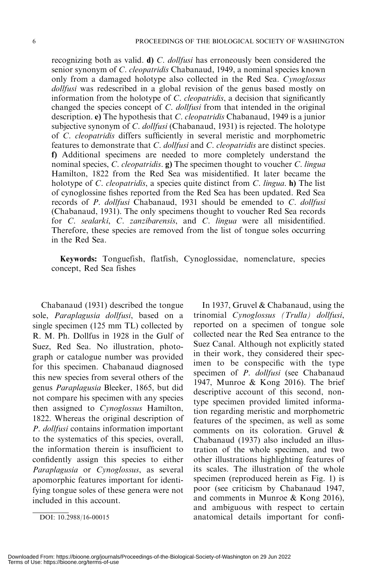recognizing both as valid. **d**) *C. dollfusi* has erroneously been considered the senior synonym of C. cleopatridis Chabanaud, 1949, a nominal species known only from a damaged holotype also collected in the Red Sea. Cynoglossus dollfusi was redescribed in a global revision of the genus based mostly on information from the holotype of C. cleopatridis, a decision that significantly changed the species concept of C. dollfusi from that intended in the original description. e) The hypothesis that C. cleopatridis Chabanaud, 1949 is a junior subjective synonym of *C. dollfusi* (Chabanaud, 1931) is rejected. The holotype of C. cleopatridis differs sufficiently in several meristic and morphometric features to demonstrate that C. dollfusi and C. cleopatridis are distinct species. f) Additional specimens are needed to more completely understand the nominal species, C. cleopatridis. g) The specimen thought to voucher C. lingua Hamilton, 1822 from the Red Sea was misidentified. It later became the holotype of *C. cleopatridis*, a species quite distinct from *C. lingua*. **h**) The list of cynoglossine fishes reported from the Red Sea has been updated. Red Sea records of P. dollfusi Chabanaud, 1931 should be emended to C. dollfusi (Chabanaud, 1931). The only specimens thought to voucher Red Sea records for C. sealarki, C. zanzibarensis, and C. lingua were all misidentified. Therefore, these species are removed from the list of tongue soles occurring in the Red Sea.

Keywords: Tonguefish, flatfish, Cynoglossidae, nomenclature, species concept, Red Sea fishes

Chabanaud (1931) described the tongue sole, Paraplagusia dollfusi, based on a single specimen (125 mm TL) collected by R. M. Ph. Dollfus in 1928 in the Gulf of Suez, Red Sea. No illustration, photograph or catalogue number was provided for this specimen. Chabanaud diagnosed this new species from several others of the genus Paraplagusia Bleeker, 1865, but did not compare his specimen with any species then assigned to Cynoglossus Hamilton, 1822. Whereas the original description of P. dollfusi contains information important to the systematics of this species, overall, the information therein is insufficient to confidently assign this species to either Paraplagusia or Cynoglossus, as several apomorphic features important for identifying tongue soles of these genera were not included in this account.

In 1937, Gruvel & Chabanaud, using the trinomial Cynoglossus (Trulla) dollfusi, reported on a specimen of tongue sole collected near the Red Sea entrance to the Suez Canal. Although not explicitly stated in their work, they considered their specimen to be conspecific with the type specimen of P. dollfusi (see Chabanaud 1947, Munroe & Kong 2016). The brief descriptive account of this second, nontype specimen provided limited information regarding meristic and morphometric features of the specimen, as well as some comments on its coloration. Gruvel & Chabanaud (1937) also included an illustration of the whole specimen, and two other illustrations highlighting features of its scales. The illustration of the whole specimen (reproduced herein as Fig. 1) is poor (see criticism by Chabanaud 1947, and comments in Munroe & Kong 2016), and ambiguous with respect to certain DOI: 10.2988/16-00015 anatomical details important for confi-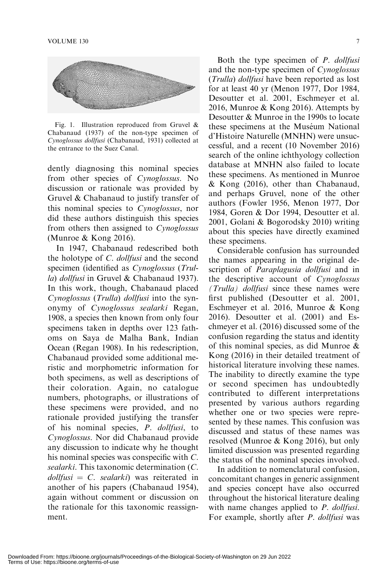

Fig. 1. Illustration reproduced from Gruvel & Chabanaud (1937) of the non-type specimen of Cynoglossus dollfusi (Chabanaud, 1931) collected at the entrance to the Suez Canal.

dently diagnosing this nominal species from other species of Cynoglossus. No discussion or rationale was provided by Gruvel & Chabanaud to justify transfer of this nominal species to Cynoglossus, nor did these authors distinguish this species from others then assigned to Cynoglossus (Munroe & Kong 2016).

In 1947, Chabanaud redescribed both the holotype of C. dollfusi and the second specimen (identified as Cynoglossus (Trulla) dollfusi in Gruvel & Chabanaud 1937). In this work, though, Chabanaud placed Cynoglossus (Trulla) dollfusi into the synonymy of Cynoglossus sealarki Regan, 1908, a species then known from only four specimens taken in depths over 123 fathoms on Saya de Malha Bank, Indian Ocean (Regan 1908). In his redescription, Chabanaud provided some additional meristic and morphometric information for both specimens, as well as descriptions of their coloration. Again, no catalogue numbers, photographs, or illustrations of these specimens were provided, and no rationale provided justifying the transfer of his nominal species, P. dollfusi, to Cynoglossus. Nor did Chabanaud provide any discussion to indicate why he thought his nominal species was conspecific with C. sealarki. This taxonomic determination (C.  $d$ ollfusi = C. sealarki) was reiterated in another of his papers (Chabanaud 1954), again without comment or discussion on the rationale for this taxonomic reassignment.

Both the type specimen of *P. dollfusi* and the non-type specimen of Cynoglossus (Trulla) dollfusi have been reported as lost for at least 40 yr (Menon 1977, Dor 1984, Desoutter et al. 2001, Eschmeyer et al. 2016, Munroe & Kong 2016). Attempts by Desoutter & Munroe in the 1990s to locate these specimens at the Muséum National d'Histoire Naturelle (MNHN) were unsuccessful, and a recent (10 November 2016) search of the online ichthyology collection database at MNHN also failed to locate these specimens. As mentioned in Munroe & Kong (2016), other than Chabanaud, and perhaps Gruvel, none of the other authors (Fowler 1956, Menon 1977, Dor 1984, Goren & Dor 1994, Desoutter et al. 2001, Golani & Bogorodsky 2010) writing about this species have directly examined these specimens.

Considerable confusion has surrounded the names appearing in the original description of *Paraplagusia dollfusi* and in the descriptive account of Cynoglossus (Trulla) dollfusi since these names were first published (Desoutter et al. 2001, Eschmeyer et al. 2016, Munroe & Kong 2016). Desoutter et al. (2001) and Eschmeyer et al. (2016) discussed some of the confusion regarding the status and identity of this nominal species, as did Munroe & Kong (2016) in their detailed treatment of historical literature involving these names. The inability to directly examine the type or second specimen has undoubtedly contributed to different interpretations presented by various authors regarding whether one or two species were represented by these names. This confusion was discussed and status of these names was resolved (Munroe & Kong 2016), but only limited discussion was presented regarding the status of the nominal species involved.

In addition to nomenclatural confusion, concomitant changes in generic assignment and species concept have also occurred throughout the historical literature dealing with name changes applied to *P. dollfusi*. For example, shortly after *P. dollfusi* was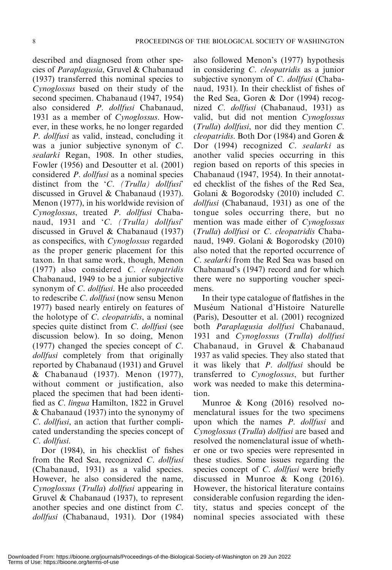described and diagnosed from other species of Paraplagusia, Gruvel & Chabanaud (1937) transferred this nominal species to Cynoglossus based on their study of the second specimen. Chabanaud (1947, 1954) also considered P. dollfusi Chabanaud, 1931 as a member of Cynoglossus. However, in these works, he no longer regarded P. dollfusi as valid, instead, concluding it was a junior subjective synonym of C. sealarki Regan, 1908. In other studies, Fowler (1956) and Desoutter et al. (2001) considered P. dollfusi as a nominal species distinct from the 'C. (Trulla) dollfusi' discussed in Gruvel & Chabanaud (1937). Menon (1977), in his worldwide revision of Cynoglossus, treated P. dollfusi Chabanaud, 1931 and 'C. (Trulla) dollfusi' discussed in Gruvel & Chabanaud (1937) as conspecifics, with Cynoglossus regarded as the proper generic placement for this taxon. In that same work, though, Menon (1977) also considered C. cleopatridis Chabanaud, 1949 to be a junior subjective synonym of *C. dollfusi*. He also proceeded to redescribe C. dollfusi (now sensu Menon 1977) based nearly entirely on features of the holotype of C. cleopatridis, a nominal species quite distinct from C. dollfusi (see discussion below). In so doing, Menon (1977) changed the species concept of C. dollfusi completely from that originally reported by Chabanaud (1931) and Gruvel & Chabanaud (1937). Menon (1977), without comment or justification, also placed the specimen that had been identified as C. lingua Hamilton, 1822 in Gruvel & Chabanaud (1937) into the synonymy of C. dollfusi, an action that further complicated understanding the species concept of C. dollfusi.

Dor (1984), in his checklist of fishes from the Red Sea, recognized C. dollfusi (Chabanaud, 1931) as a valid species. However, he also considered the name, Cynoglossus (Trulla) dollfusi appearing in Gruvel & Chabanaud (1937), to represent another species and one distinct from C. dollfusi (Chabanaud, 1931). Dor (1984) also followed Menon's (1977) hypothesis in considering C. cleopatridis as a junior subjective synonym of C. dollfusi (Chabanaud, 1931). In their checklist of fishes of the Red Sea, Goren & Dor (1994) recognized C. dollfusi (Chabanaud, 1931) as valid, but did not mention Cynoglossus (Trulla) dollfusi, nor did they mention C. cleopatridis. Both Dor (1984) and Goren & Dor (1994) recognized C. sealarki as another valid species occurring in this region based on reports of this species in Chabanaud (1947, 1954). In their annotated checklist of the fishes of the Red Sea, Golani & Bogorodsky (2010) included C. dollfusi (Chabanaud, 1931) as one of the tongue soles occurring there, but no mention was made either of Cynoglossus (Trulla) dollfusi or C. cleopatridis Chabanaud, 1949. Golani & Bogorodsky (2010) also noted that the reported occurrence of C. sealarki from the Red Sea was based on Chabanaud's (1947) record and for which there were no supporting voucher specimens.

In their type catalogue of flatfishes in the Muséum National d'Histoire Naturelle (Paris), Desoutter et al. (2001) recognized both Paraplagusia dollfusi Chabanaud, 1931 and Cynoglossus (Trulla) dollfusi Chabanaud, in Gruvel & Chabanaud 1937 as valid species. They also stated that it was likely that P. dollfusi should be transferred to Cynoglossus, but further work was needed to make this determination.

Munroe & Kong (2016) resolved nomenclatural issues for the two specimens upon which the names P. dollfusi and Cynoglossus (Trulla) dollfusi are based and resolved the nomenclatural issue of whether one or two species were represented in these studies. Some issues regarding the species concept of C. dollfusi were briefly discussed in Munroe & Kong (2016). However, the historical literature contains considerable confusion regarding the identity, status and species concept of the nominal species associated with these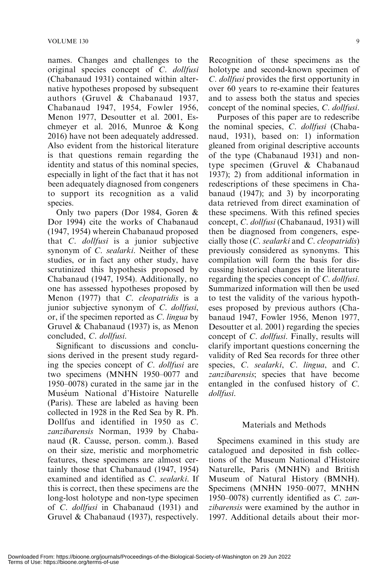names. Changes and challenges to the original species concept of C. dollfusi (Chabanaud 1931) contained within alternative hypotheses proposed by subsequent authors (Gruvel & Chabanaud 1937, Chabanaud 1947, 1954, Fowler 1956, Menon 1977, Desoutter et al. 2001, Eschmeyer et al. 2016, Munroe & Kong 2016) have not been adequately addressed. Also evident from the historical literature is that questions remain regarding the identity and status of this nominal species, especially in light of the fact that it has not been adequately diagnosed from congeners to support its recognition as a valid species.

Only two papers (Dor 1984, Goren & Dor 1994) cite the works of Chabanaud (1947, 1954) wherein Chabanaud proposed that *C. dollfusi* is a junior subjective synonym of C. sealarki. Neither of these studies, or in fact any other study, have scrutinized this hypothesis proposed by Chabanaud (1947, 1954). Additionally, no one has assessed hypotheses proposed by Menon (1977) that C. cleopatridis is a junior subjective synonym of C. dollfusi, or, if the specimen reported as C. lingua by Gruvel & Chabanaud (1937) is, as Menon concluded, C. dollfusi.

Significant to discussions and conclusions derived in the present study regarding the species concept of C. dollfusi are two specimens (MNHN 1950–0077 and 1950–0078) curated in the same jar in the Muséum National d'Histoire Naturelle (Paris). These are labeled as having been collected in 1928 in the Red Sea by R. Ph. Dollfus and identified in 1950 as C. zanzibarensis Norman, 1939 by Chabanaud (R. Causse, person. comm.). Based on their size, meristic and morphometric features, these specimens are almost certainly those that Chabanaud (1947, 1954) examined and identified as C. sealarki. If this is correct, then these specimens are the long-lost holotype and non-type specimen of C. dollfusi in Chabanaud (1931) and Gruvel & Chabanaud (1937), respectively. Recognition of these specimens as the holotype and second-known specimen of C. dollfusi provides the first opportunity in over 60 years to re-examine their features and to assess both the status and species concept of the nominal species, C. dollfusi.

Purposes of this paper are to redescribe the nominal species, C. dollfusi (Chabanaud, 1931), based on: 1) information gleaned from original descriptive accounts of the type (Chabanaud 1931) and nontype specimen (Gruvel & Chabanaud 1937); 2) from additional information in redescriptions of these specimens in Chabanaud (1947); and 3) by incorporating data retrieved from direct examination of these specimens. With this refined species concept, C. dollfusi (Chabanaud, 1931) will then be diagnosed from congeners, especially those  $(C.$  sealarki and  $C.$  cleopatridis) previously considered as synonyms. This compilation will form the basis for discussing historical changes in the literature regarding the species concept of C. dollfusi. Summarized information will then be used to test the validity of the various hypotheses proposed by previous authors (Chabanaud 1947, Fowler 1956, Menon 1977, Desoutter et al. 2001) regarding the species concept of C. dollfusi. Finally, results will clarify important questions concerning the validity of Red Sea records for three other species, C. sealarki, C. lingua, and C. zanzibarensis; species that have become entangled in the confused history of C. dollfusi.

### Materials and Methods

Specimens examined in this study are catalogued and deposited in fish collections of the Museum National d'Histoire Naturelle, Paris (MNHN) and British Museum of Natural History (BMNH). Specimens (MNHN 1950–0077, MNHN 1950–0078) currently identified as C. zanzibarensis were examined by the author in 1997. Additional details about their mor-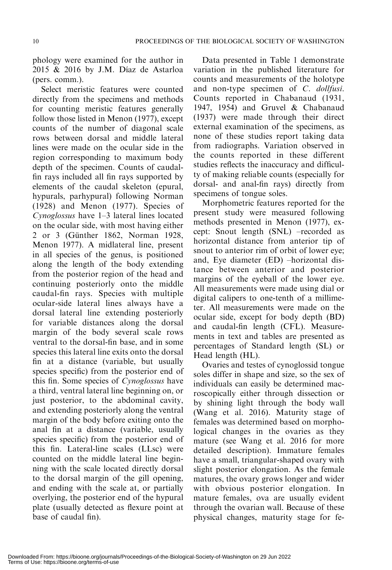phology were examined for the author in  $2015 \& 2016$  by J.M. Díaz de Astarloa (pers. comm.).

Select meristic features were counted directly from the specimens and methods for counting meristic features generally follow those listed in Menon (1977), except counts of the number of diagonal scale rows between dorsal and middle lateral lines were made on the ocular side in the region corresponding to maximum body depth of the specimen. Counts of caudalfin rays included all fin rays supported by elements of the caudal skeleton (epural, hypurals, parhypural) following Norman (1928) and Menon (1977). Species of Cynoglossus have 1–3 lateral lines located on the ocular side, with most having either 2 or 3 (Günther 1862, Norman 1928, Menon 1977). A midlateral line, present in all species of the genus, is positioned along the length of the body extending from the posterior region of the head and continuing posteriorly onto the middle caudal-fin rays. Species with multiple ocular-side lateral lines always have a dorsal lateral line extending posteriorly for variable distances along the dorsal margin of the body several scale rows ventral to the dorsal-fin base, and in some species this lateral line exits onto the dorsal fin at a distance (variable, but usually species specific) from the posterior end of this fin. Some species of Cynoglossus have a third, ventral lateral line beginning on, or just posterior, to the abdominal cavity, and extending posteriorly along the ventral margin of the body before exiting onto the anal fin at a distance (variable, usually species specific) from the posterior end of this fin. Lateral-line scales (LLsc) were counted on the middle lateral line beginning with the scale located directly dorsal to the dorsal margin of the gill opening, and ending with the scale at, or partially overlying, the posterior end of the hypural plate (usually detected as flexure point at base of caudal fin).

Data presented in Table 1 demonstrate variation in the published literature for counts and measurements of the holotype and non-type specimen of C. dollfusi. Counts reported in Chabanaud (1931, 1947, 1954) and Gruvel & Chabanaud (1937) were made through their direct external examination of the specimens, as none of these studies report taking data from radiographs. Variation observed in the counts reported in these different studies reflects the inaccuracy and difficulty of making reliable counts (especially for dorsal- and anal-fin rays) directly from specimens of tongue soles.

Morphometric features reported for the present study were measured following methods presented in Menon (1977), except: Snout length (SNL) –recorded as horizontal distance from anterior tip of snout to anterior rim of orbit of lower eye; and, Eye diameter (ED) –horizontal distance between anterior and posterior margins of the eyeball of the lower eye. All measurements were made using dial or digital calipers to one-tenth of a millimeter. All measurements were made on the ocular side, except for body depth (BD) and caudal-fin length (CFL). Measurements in text and tables are presented as percentages of Standard length (SL) or Head length (HL).

Ovaries and testes of cynoglossid tongue soles differ in shape and size, so the sex of individuals can easily be determined macroscopically either through dissection or by shining light through the body wall (Wang et al. 2016). Maturity stage of females was determined based on morphological changes in the ovaries as they mature (see Wang et al. 2016 for more detailed description). Immature females have a small, triangular-shaped ovary with slight posterior elongation. As the female matures, the ovary grows longer and wider with obvious posterior elongation. In mature females, ova are usually evident through the ovarian wall. Because of these physical changes, maturity stage for fe-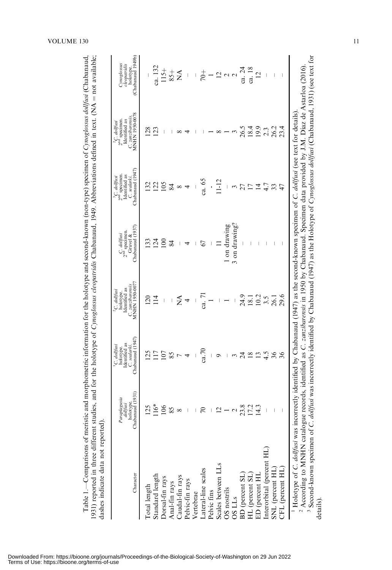| Character                                                                                                                                                                                                                                                                                                                                                                                                                                                                              | Chabanaud (1931)<br>Paraplagusia<br>dollfusi<br>holotype. | Chabanaud (1947)<br>Identified as<br><sup>1</sup> C. dolfusi<br>holotype.<br>C. sealarki | MNHN 1950-0077<br>C. zanzibarensis<br>Identified as<br><sup>2</sup> C. dollfusi<br>holotype. | Chabanaud (1937)<br>$C.$ dollfusi<br>$2nd$ specimen.<br>Gruvel & | Chabanaud (1947)<br>$23C.$ <i>dollfusi</i><br>$23d$ specimen.<br>Identified as<br>C. sealarki | MNHN 1950-0078<br>C. zanzibarensis.<br>Identified as<br><sup>2</sup> C. dollfusi<br>2 <sup>nd</sup> specimen. | Chabanaud 1949b<br>Cynoglossus<br>cleopatridis<br>holotype. |
|----------------------------------------------------------------------------------------------------------------------------------------------------------------------------------------------------------------------------------------------------------------------------------------------------------------------------------------------------------------------------------------------------------------------------------------------------------------------------------------|-----------------------------------------------------------|------------------------------------------------------------------------------------------|----------------------------------------------------------------------------------------------|------------------------------------------------------------------|-----------------------------------------------------------------------------------------------|---------------------------------------------------------------------------------------------------------------|-------------------------------------------------------------|
| Total length                                                                                                                                                                                                                                                                                                                                                                                                                                                                           |                                                           | $\overline{25}$                                                                          | $\bar{\rm s}$                                                                                |                                                                  |                                                                                               | 128                                                                                                           |                                                             |
| Standard length                                                                                                                                                                                                                                                                                                                                                                                                                                                                        | $116*$                                                    |                                                                                          | $\vec{=}$                                                                                    | $\bar{2}4$                                                       | 22                                                                                            | 123                                                                                                           | ca. 132                                                     |
| Dorsal-fin rays                                                                                                                                                                                                                                                                                                                                                                                                                                                                        | 106                                                       | $\overline{0}$                                                                           | I                                                                                            | $\overline{00}$                                                  | 105                                                                                           |                                                                                                               | $115+$                                                      |
| Anal-fin rays                                                                                                                                                                                                                                                                                                                                                                                                                                                                          | 85                                                        | 85                                                                                       |                                                                                              | 84                                                               | 84                                                                                            |                                                                                                               | $-58$                                                       |
|                                                                                                                                                                                                                                                                                                                                                                                                                                                                                        |                                                           |                                                                                          | Ź                                                                                            |                                                                  | ${}^{\circ}$                                                                                  |                                                                                                               | Ź                                                           |
| Caudal-fin rays<br>Pelvic-fin rays                                                                                                                                                                                                                                                                                                                                                                                                                                                     |                                                           |                                                                                          | 4                                                                                            |                                                                  |                                                                                               |                                                                                                               |                                                             |
| Vertebrae                                                                                                                                                                                                                                                                                                                                                                                                                                                                              |                                                           |                                                                                          |                                                                                              |                                                                  |                                                                                               |                                                                                                               |                                                             |
| Lateral-line scales                                                                                                                                                                                                                                                                                                                                                                                                                                                                    |                                                           | ca.70                                                                                    | ca. 71                                                                                       | 67                                                               | ca. 65                                                                                        |                                                                                                               | $\frac{+}{2}$                                               |
| Pelvic fins                                                                                                                                                                                                                                                                                                                                                                                                                                                                            |                                                           |                                                                                          |                                                                                              |                                                                  |                                                                                               |                                                                                                               |                                                             |
| Scales between LLs                                                                                                                                                                                                                                                                                                                                                                                                                                                                     |                                                           |                                                                                          |                                                                                              |                                                                  | $11 - 12$                                                                                     | $\infty$                                                                                                      |                                                             |
| OS nostrils                                                                                                                                                                                                                                                                                                                                                                                                                                                                            |                                                           |                                                                                          |                                                                                              | on drawing                                                       |                                                                                               |                                                                                                               | $\frac{2}{3}$ a a                                           |
|                                                                                                                                                                                                                                                                                                                                                                                                                                                                                        |                                                           |                                                                                          |                                                                                              | 3 on drawing?                                                    |                                                                                               |                                                                                                               |                                                             |
| OS LLs<br>BD (percent SL)<br>HL (percent SL)                                                                                                                                                                                                                                                                                                                                                                                                                                           | 23                                                        |                                                                                          | 24.9                                                                                         |                                                                  |                                                                                               | 26.5                                                                                                          | ca. 24                                                      |
|                                                                                                                                                                                                                                                                                                                                                                                                                                                                                        |                                                           |                                                                                          | $\overline{18}$                                                                              |                                                                  |                                                                                               | 18.4                                                                                                          | ca. 18                                                      |
| ED (percent HL                                                                                                                                                                                                                                                                                                                                                                                                                                                                         |                                                           |                                                                                          | 10.2                                                                                         |                                                                  |                                                                                               | 19.9                                                                                                          | $\overline{c}$                                              |
| Interorbital (percent HL)                                                                                                                                                                                                                                                                                                                                                                                                                                                              |                                                           | 4.5                                                                                      | 3.5                                                                                          |                                                                  | 4.7                                                                                           | 2.3                                                                                                           |                                                             |
| SNL (percent HL)                                                                                                                                                                                                                                                                                                                                                                                                                                                                       |                                                           |                                                                                          | 26.1                                                                                         | I                                                                |                                                                                               | 26.2                                                                                                          |                                                             |
| CFL (percent HL)                                                                                                                                                                                                                                                                                                                                                                                                                                                                       |                                                           |                                                                                          | 29.6                                                                                         |                                                                  |                                                                                               | 23.4                                                                                                          |                                                             |
| <sup>3</sup> Second-known specimen of C. dollfusi was incorrectly identified by Chabanaud (1947) as the Holotype of Cynoglossus dollfusi (Chabanaud, 1931) (see text for<br><sup>2</sup> According to MNHN catalogue records, identified as C. zanzibarensis in 1950 by Chabanaud. Specimen data provided by J.M. Díaz de Astarloa (2016)<br>Holotype of C. dollfusi was incorrectly identified by Chabanaud (1947) as the second-known specimen of C. dollfusi (see text for details) |                                                           |                                                                                          |                                                                                              |                                                                  |                                                                                               |                                                                                                               |                                                             |

### VOLUME  $130$  11

details).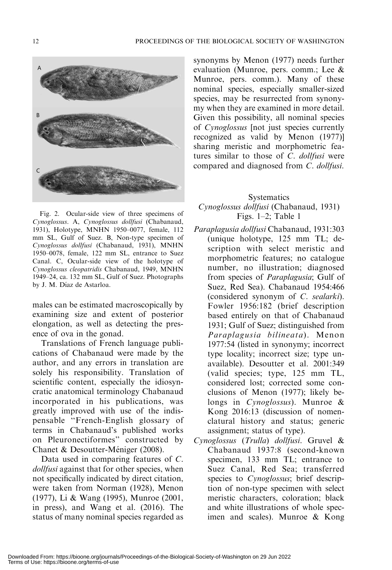

Fig. 2. Ocular-side view of three specimens of Cynoglossus. A, Cynoglossus dollfusi (Chabanaud, 1931), Holotype, MNHN 1950–0077, female, 112 mm SL, Gulf of Suez. B, Non-type specimen of Cynoglossus dollfusi (Chabanaud, 1931), MNHN 1950–0078, female, 122 mm SL, entrance to Suez Canal. C, Ocular-side view of the holotype of Cynoglossus cleopatridis Chabanaud, 1949, MNHN 1949–24, ca. 132 mm SL, Gulf of Suez. Photographs by J. M. Díaz de Astarloa.

males can be estimated macroscopically by examining size and extent of posterior elongation, as well as detecting the presence of ova in the gonad.

Translations of French language publications of Chabanaud were made by the author, and any errors in translation are solely his responsibility. Translation of scientific content, especially the idiosyncratic anatomical terminology Chabanaud incorporated in his publications, was greatly improved with use of the indispensable ''French-English glossary of terms in Chabanaud's published works on Pleuronectiformes'' constructed by Chanet & Desoutter-Méniger (2008).

Data used in comparing features of C. dollfusi against that for other species, when not specifically indicated by direct citation, were taken from Norman (1928), Menon (1977), Li & Wang (1995), Munroe (2001, in press), and Wang et al. (2016). The status of many nominal species regarded as synonyms by Menon (1977) needs further evaluation (Munroe, pers. comm.; Lee & Munroe, pers. comm.). Many of these nominal species, especially smaller-sized species, may be resurrected from synonymy when they are examined in more detail. Given this possibility, all nominal species of Cynoglossus [not just species currently recognized as valid by Menon (1977)] sharing meristic and morphometric features similar to those of C. dollfusi were compared and diagnosed from C. dollfusi.

# **Systematics** Cynoglossus dollfusi (Chabanaud, 1931) Figs. 1–2; Table 1

- Paraplagusia dollfusi Chabanaud, 1931:303 (unique holotype, 125 mm TL; description with select meristic and morphometric features; no catalogue number, no illustration; diagnosed from species of Paraplagusia; Gulf of Suez, Red Sea). Chabanaud 1954:466 (considered synonym of C. sealarki). Fowler 1956:182 (brief description based entirely on that of Chabanaud 1931; Gulf of Suez; distinguished from Paraplagusia bilineata). Menon 1977:54 (listed in synonymy; incorrect type locality; incorrect size; type unavailable). Desoutter et al. 2001:349 (valid species; type, 125 mm TL, considered lost; corrected some conclusions of Menon (1977); likely belongs in Cynoglossus). Munroe & Kong 2016:13 (discussion of nomenclatural history and status; generic assignment; status of type).
- Cynoglossus (Trulla) dollfusi. Gruvel & Chabanaud 1937:8 (second-known specimen, 133 mm TL; entrance to Suez Canal, Red Sea; transferred species to Cynoglossus; brief description of non-type specimen with select meristic characters, coloration; black and white illustrations of whole specimen and scales). Munroe & Kong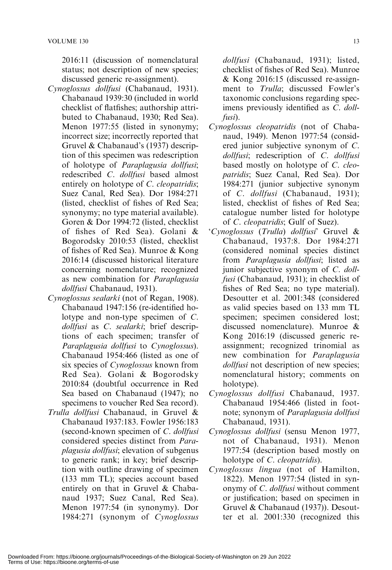2016:11 (discussion of nomenclatural status; not description of new species; discussed generic re-assignment).

- Cynoglossus dollfusi (Chabanaud, 1931). Chabanaud 1939:30 (included in world checklist of flatfishes; authorship attributed to Chabanaud, 1930; Red Sea). Menon 1977:55 (listed in synonymy; incorrect size; incorrectly reported that Gruvel & Chabanaud's (1937) description of this specimen was redescription of holotype of Paraplagusia dollfusi; redescribed C. dollfusi based almost entirely on holotype of C. cleopatridis; Suez Canal, Red Sea). Dor 1984:271 (listed, checklist of fishes of Red Sea; synonymy; no type material available). Goren & Dor 1994:72 (listed, checklist of fishes of Red Sea). Golani & Bogorodsky 2010:53 (listed, checklist of fishes of Red Sea). Munroe & Kong 2016:14 (discussed historical literature concerning nomenclature; recognized as new combination for Paraplagusia dollfusi Chabanaud, 1931).
- Cynoglossus sealarki (not of Regan, 1908). Chabanaud 1947:156 (re-identified holotype and non-type specimen of C. dollfusi as C. sealarki; brief descriptions of each specimen; transfer of Paraplagusia dollfusi to Cynoglossus). Chabanaud 1954:466 (listed as one of six species of Cynoglossus known from Red Sea). Golani & Bogorodsky 2010:84 (doubtful occurrence in Red Sea based on Chabanaud (1947); no specimens to voucher Red Sea record).
- Trulla dollfusi Chabanaud, in Gruvel & Chabanaud 1937:183. Fowler 1956:183 (second-known specimen of C. dollfusi considered species distinct from Paraplagusia dollfusi; elevation of subgenus to generic rank; in key; brief description with outline drawing of specimen (133 mm TL); species account based entirely on that in Gruvel & Chabanaud 1937; Suez Canal, Red Sea). Menon 1977:54 (in synonymy). Dor 1984:271 (synonym of Cynoglossus

dollfusi (Chabanaud, 1931); listed, checklist of fishes of Red Sea). Munroe & Kong 2016:15 (discussed re-assignment to Trulla; discussed Fowler's taxonomic conclusions regarding specimens previously identified as C. dollfusi).

- Cynoglossus cleopatridis (not of Chabanaud, 1949). Menon 1977:54 (considered junior subjective synonym of C. dollfusi; redescription of C. dollfusi based mostly on holotype of C. cleopatridis; Suez Canal, Red Sea). Dor 1984:271 (junior subjective synonym of C. dollfusi (Chabanaud, 1931); listed, checklist of fishes of Red Sea; catalogue number listed for holotype of C. cleopatridis; Gulf of Suez).
- 'Cynoglossus (Trulla) dollfusi' Gruvel & Chabanaud, 1937:8. Dor 1984:271 (considered nominal species distinct from Paraplagusia dollfusi; listed as junior subjective synonym of C. dollfusi (Chabanaud, 1931); in checklist of fishes of Red Sea; no type material). Desoutter et al. 2001:348 (considered as valid species based on 133 mm TL specimen; specimen considered lost; discussed nomenclature). Munroe & Kong 2016:19 (discussed generic reassignment; recognized trinomial as new combination for Paraplagusia dollfusi not description of new species; nomenclatural history; comments on holotype).
- Cynoglossus dollfusi Chabanaud, 1937. Chabanaud 1954:466 (listed in footnote; synonym of Paraplagusia dollfusi Chabanaud, 1931).
- Cynoglossus dollfusi (sensu Menon 1977, not of Chabanaud, 1931). Menon 1977:54 (description based mostly on holotype of C. cleopatridis).
- Cynoglossus lingua (not of Hamilton, 1822). Menon 1977:54 (listed in synonymy of C. dollfusi without comment or justification; based on specimen in Gruvel & Chabanaud (1937)). Desoutter et al. 2001:330 (recognized this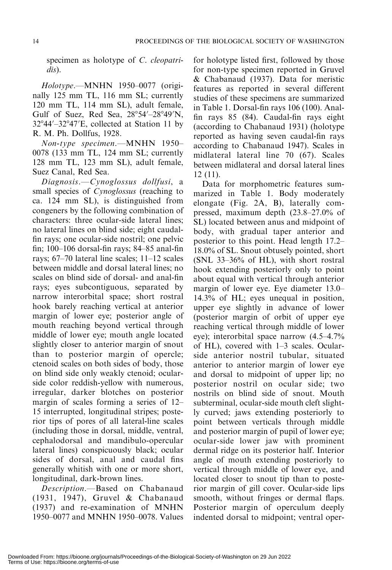specimen as holotype of C. cleopatridis).

Holotype.—MNHN 1950–0077 (originally 125 mm TL, 116 mm SL; currently 120 mm TL, 114 mm SL), adult female, Gulf of Suez, Red Sea,  $28^{\circ}54' - 28^{\circ}49'N$ ,  $32^{\circ}44'$ - $32^{\circ}47'$ E, collected at Station 11 by R. M. Ph. Dollfus, 1928.

Non-type specimen.—MNHN 1950– 0078 (133 mm TL, 124 mm SL; currently 128 mm TL, 123 mm SL), adult female, Suez Canal, Red Sea.

Diagnosis.—Cynoglossus dollfusi, a small species of *Cynoglossus* (reaching to ca. 124 mm SL), is distinguished from congeners by the following combination of characters: three ocular-side lateral lines; no lateral lines on blind side; eight caudalfin rays; one ocular-side nostril; one pelvic fin; 100–106 dorsal-fin rays; 84–85 anal-fin rays; 67–70 lateral line scales; 11–12 scales between middle and dorsal lateral lines; no scales on blind side of dorsal- and anal-fin rays; eyes subcontiguous, separated by narrow interorbital space; short rostral hook barely reaching vertical at anterior margin of lower eye; posterior angle of mouth reaching beyond vertical through middle of lower eye; mouth angle located slightly closer to anterior margin of snout than to posterior margin of opercle; ctenoid scales on both sides of body, those on blind side only weakly ctenoid; ocularside color reddish-yellow with numerous, irregular, darker blotches on posterior margin of scales forming a series of 12– 15 interrupted, longitudinal stripes; posterior tips of pores of all lateral-line scales (including those in dorsal, middle, ventral, cephalodorsal and mandibulo-opercular lateral lines) conspicuously black; ocular sides of dorsal, anal and caudal fins generally whitish with one or more short, longitudinal, dark-brown lines.

Description.—Based on Chabanaud (1931, 1947), Gruvel & Chabanaud (1937) and re-examination of MNHN 1950–0077 and MNHN 1950–0078. Values for holotype listed first, followed by those for non-type specimen reported in Gruvel & Chabanaud (1937). Data for meristic features as reported in several different studies of these specimens are summarized in Table 1. Dorsal-fin rays 106 (100). Analfin rays 85 (84). Caudal-fin rays eight (according to Chabanaud 1931) (holotype reported as having seven caudal-fin rays according to Chabanaud 1947). Scales in midlateral lateral line 70 (67). Scales between midlateral and dorsal lateral lines 12 (11).

Data for morphometric features summarized in Table 1. Body moderately elongate (Fig. 2A, B), laterally compressed, maximum depth (23.8–27.0% of SL) located between anus and midpoint of body, with gradual taper anterior and posterior to this point. Head length 17.2– 18.0% of SL. Snout obtusely pointed, short (SNL 33–36% of HL), with short rostral hook extending posteriorly only to point about equal with vertical through anterior margin of lower eye. Eye diameter 13.0– 14.3% of HL; eyes unequal in position, upper eye slightly in advance of lower (posterior margin of orbit of upper eye reaching vertical through middle of lower eye); interorbital space narrow (4.5–4.7% of HL), covered with 1–3 scales. Ocularside anterior nostril tubular, situated anterior to anterior margin of lower eye and dorsal to midpoint of upper lip; no posterior nostril on ocular side; two nostrils on blind side of snout. Mouth subterminal, ocular-side mouth cleft slightly curved; jaws extending posteriorly to point between verticals through middle and posterior margin of pupil of lower eye; ocular-side lower jaw with prominent dermal ridge on its posterior half. Interior angle of mouth extending posteriorly to vertical through middle of lower eye, and located closer to snout tip than to posterior margin of gill cover. Ocular-side lips smooth, without fringes or dermal flaps. Posterior margin of operculum deeply indented dorsal to midpoint; ventral oper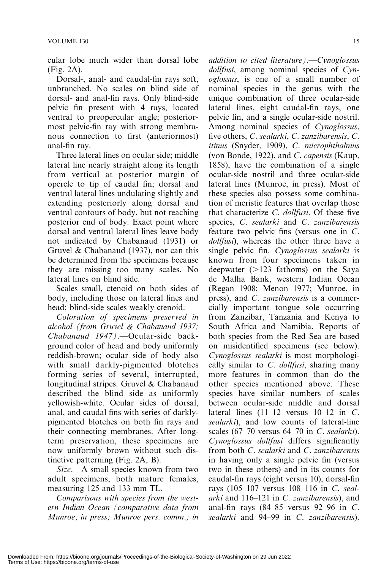cular lobe much wider than dorsal lobe (Fig. 2A).

Dorsal-, anal- and caudal-fin rays soft, unbranched. No scales on blind side of dorsal- and anal-fin rays. Only blind-side pelvic fin present with 4 rays, located ventral to preopercular angle; posteriormost pelvic-fin ray with strong membranous connection to first (anteriormost) anal-fin ray.

Three lateral lines on ocular side; middle lateral line nearly straight along its length from vertical at posterior margin of opercle to tip of caudal fin; dorsal and ventral lateral lines undulating slightly and extending posteriorly along dorsal and ventral contours of body, but not reaching posterior end of body. Exact point where dorsal and ventral lateral lines leave body not indicated by Chabanaud (1931) or Gruvel & Chabanaud (1937), nor can this be determined from the specimens because they are missing too many scales. No lateral lines on blind side.

Scales small, ctenoid on both sides of body, including those on lateral lines and head; blind-side scales weakly ctenoid.

Coloration of specimens preserved in alcohol (from Gruvel & Chabanaud 1937; Chabanaud 1947).—Ocular-side background color of head and body uniformly reddish-brown; ocular side of body also with small darkly-pigmented blotches forming series of several, interrupted, longitudinal stripes. Gruvel & Chabanaud described the blind side as uniformly yellowish-white. Ocular sides of dorsal, anal, and caudal fins with series of darklypigmented blotches on both fin rays and their connecting membranes. After longterm preservation, these specimens are now uniformly brown without such distinctive patterning (Fig. 2A, B).

Size.—A small species known from two adult specimens, both mature females, measuring 125 and 133 mm TL.

Comparisons with species from the western Indian Ocean (comparative data from Munroe, in press; Munroe pers. comm.; in addition to cited literature).  $-Cynoglossus$ dollfusi, among nominal species of Cynoglossus, is one of a small number of nominal species in the genus with the unique combination of three ocular-side lateral lines, eight caudal-fin rays, one pelvic fin, and a single ocular-side nostril. Among nominal species of Cynoglossus, five others, C. sealarki, C. zanzibarensis, C. itinus (Snyder, 1909), C. microphthalmus (von Bonde, 1922), and C. capensis (Kaup, 1858), have the combination of a single ocular-side nostril and three ocular-side lateral lines (Munroe, in press). Most of these species also possess some combination of meristic features that overlap those that characterize C. dollfusi. Of these five species, C. sealarki and C. zanzibarensis feature two pelvic fins (versus one in C. dollfusi), whereas the other three have a single pelvic fin. Cynoglossus sealarki is known from four specimens taken in deepwater  $(>123$  fathoms) on the Saya de Malha Bank, western Indian Ocean (Regan 1908; Menon 1977; Munroe, in press), and C. zanzibarensis is a commercially important tongue sole occurring from Zanzibar, Tanzania and Kenya to South Africa and Namibia. Reports of both species from the Red Sea are based on misidentified specimens (see below). Cynoglossus sealarki is most morphologically similar to  $C.$  *dollfusi*, sharing many more features in common than do the other species mentioned above. These species have similar numbers of scales between ocular-side middle and dorsal lateral lines  $(11-12 \text{ versus } 10-12 \text{ in } C$ . sealarki), and low counts of lateral-line scales (67–70 versus 64–70 in C. sealarki). Cynoglossus dollfusi differs significantly from both C. sealarki and C. zanzibarensis in having only a single pelvic fin (versus two in these others) and in its counts for caudal-fin rays (eight versus 10), dorsal-fin rays (105–107 versus 108–116 in C. sealarki and 116–121 in C. zanzibarensis), and anal-fin rays (84–85 versus 92–96 in C. sealarki and 94–99 in C. zanzibarensis).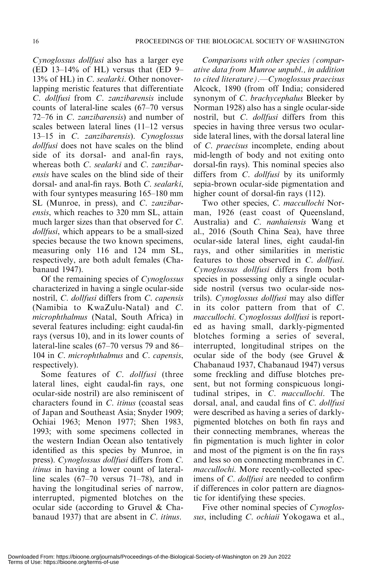Cynoglossus dollfusi also has a larger eye  $(ED 13-14\% \text{ of HL})$  versus that  $(ED 9-$ 13% of HL) in C. sealarki. Other nonoverlapping meristic features that differentiate C. dollfusi from C. zanzibarensis include counts of lateral-line scales (67–70 versus 72–76 in C. zanzibarensis) and number of scales between lateral lines (11–12 versus 13–15 in C. zanzibarensis). Cynoglossus dollfusi does not have scales on the blind side of its dorsal- and anal-fin rays, whereas both C. sealarki and C. zanzibarensis have scales on the blind side of their dorsal- and anal-fin rays. Both C. sealarki, with four syntypes measuring 165–180 mm SL (Munroe, in press), and C. zanzibarensis, which reaches to 320 mm SL, attain much larger sizes than that observed for C. dollfusi, which appears to be a small-sized species because the two known specimens, measuring only 116 and 124 mm SL, respectively, are both adult females (Chabanaud 1947).

Of the remaining species of Cynoglossus characterized in having a single ocular-side nostril, C. dollfusi differs from C. capensis (Namibia to KwaZulu-Natal) and C. microphthalmus (Natal, South Africa) in several features including: eight caudal-fin rays (versus 10), and in its lower counts of lateral-line scales (67–70 versus 79 and 86– 104 in *C. microphthalmus* and *C. capensis*, respectively).

Some features of C. dollfusi (three lateral lines, eight caudal-fin rays, one ocular-side nostril) are also reminiscent of characters found in C. itinus (coastal seas of Japan and Southeast Asia; Snyder 1909; Ochiai 1963; Menon 1977; Shen 1983, 1993; with some specimens collected in the western Indian Ocean also tentatively identified as this species by Munroe, in press). Cynoglossus dollfusi differs from C. *itinus* in having a lower count of lateralline scales (67–70 versus 71–78), and in having the longitudinal series of narrow, interrupted, pigmented blotches on the ocular side (according to Gruvel & Chabanaud 1937) that are absent in C. itinus.

Comparisons with other species (comparative data from Munroe unpubl., in addition to cited literature).—Cynoglossus praecisus Alcock, 1890 (from off India; considered synonym of C. brachycephalus Bleeker by Norman 1928) also has a single ocular-side nostril, but C. dollfusi differs from this species in having three versus two ocularside lateral lines, with the dorsal lateral line of C. praecisus incomplete, ending about mid-length of body and not exiting onto dorsal-fin rays). This nominal species also differs from C. dollfusi by its uniformly sepia-brown ocular-side pigmentation and higher count of dorsal-fin rays (112).

Two other species, C. maccullochi Norman, 1926 (east coast of Queensland, Australia) and C. nanhaiensis Wang et al., 2016 (South China Sea), have three ocular-side lateral lines, eight caudal-fin rays, and other similarities in meristic features to those observed in C. dollfusi. Cynoglossus dollfusi differs from both species in possessing only a single ocularside nostril (versus two ocular-side nostrils). Cynoglossus dollfusi may also differ in its color pattern from that of C. maccullochi. Cynoglossus dollfusi is reported as having small, darkly-pigmented blotches forming a series of several, interrupted, longitudinal stripes on the ocular side of the body (see Gruvel & Chabanaud 1937, Chabanaud 1947) versus some freckling and diffuse blotches present, but not forming conspicuous longitudinal stripes, in C. maccullochi. The dorsal, anal, and caudal fins of C. dollfusi were described as having a series of darklypigmented blotches on both fin rays and their connecting membranes, whereas the fin pigmentation is much lighter in color and most of the pigment is on the fin rays and less so on connecting membranes in C. maccullochi. More recently-collected specimens of *C. dollfusi* are needed to confirm if differences in color pattern are diagnostic for identifying these species.

Five other nominal species of Cynoglossus, including C. ochiaii Yokogawa et al.,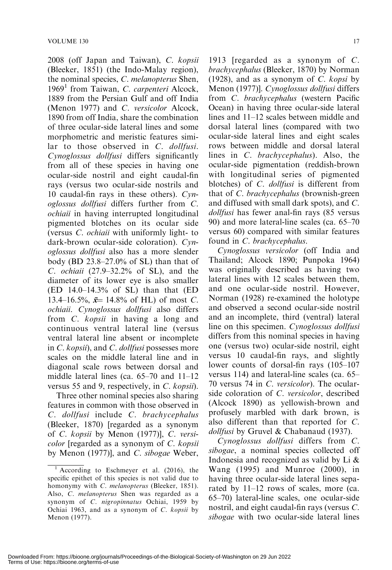2008 (off Japan and Taiwan), C. kopsii (Bleeker, 1851) (the Indo-Malay region), the nominal species, C. melanopterus Shen,  $1969<sup>1</sup>$  from Taiwan, C. carpenteri Alcock, 1889 from the Persian Gulf and off India (Menon 1977) and C. versicolor Alcock, 1890 from off India, share the combination of three ocular-side lateral lines and some morphometric and meristic features similar to those observed in C. *dollfusi*. Cynoglossus dollfusi differs significantly from all of these species in having one ocular-side nostril and eight caudal-fin rays (versus two ocular-side nostrils and 10 caudal-fin rays in these others). Cynoglossus dollfusi differs further from C. ochiaii in having interrupted longitudinal pigmented blotches on its ocular side (versus C. ochiaii with uniformly light- to dark-brown ocular-side coloration). Cynoglossus dollfusi also has a more slender body (BD 23.8–27.0% of SL) than that of C. ochiaii (27.9–32.2% of SL), and the diameter of its lower eye is also smaller (ED 14.0–14.3% of SL) than that (ED 13.4–16.5%,  $\bar{x}$ = 14.8% of HL) of most C. ochiaii. Cynoglossus dollfusi also differs from C. kopsii in having a long and continuous ventral lateral line (versus ventral lateral line absent or incomplete in C. kopsii), and C. dollfusi possesses more scales on the middle lateral line and in diagonal scale rows between dorsal and middle lateral lines (ca. 65–70 and 11–12 versus 55 and 9, respectively, in C. kopsii).

Three other nominal species also sharing features in common with those observed in C. dollfusi include C. brachycephalus (Bleeker, 1870) [regarded as a synonym of C. kopsii by Menon (1977)], C. versicolor [regarded as a synonym of C. kopsii by Menon (1977)], and C. sibogae Weber,

1913 [regarded as a synonym of C. brachycephalus (Bleeker, 1870) by Norman (1928), and as a synonym of C. kopsi by Menon (1977)]. Cynoglossus dollfusi differs from C. brachycephalus (western Pacific Ocean) in having three ocular-side lateral lines and 11–12 scales between middle and dorsal lateral lines (compared with two ocular-side lateral lines and eight scales rows between middle and dorsal lateral lines in C. brachycephalus). Also, the ocular-side pigmentation (reddish-brown with longitudinal series of pigmented blotches) of *C. dollfusi* is different from that of C. brachycephalus (brownish-green and diffused with small dark spots), and C. dollfusi has fewer anal-fin rays (85 versus 90) and more lateral-line scales (ca. 65–70 versus 60) compared with similar features found in C. brachycephalus.

Cynoglossus versicolor (off India and Thailand; Alcock 1890; Punpoka 1964) was originally described as having two lateral lines with 12 scales between them, and one ocular-side nostril. However, Norman (1928) re-examined the holotype and observed a second ocular-side nostril and an incomplete, third (ventral) lateral line on this specimen. Cynoglossus dollfusi differs from this nominal species in having one (versus two) ocular-side nostril, eight versus 10 caudal-fin rays, and slightly lower counts of dorsal-fin rays (105–107 versus 114) and lateral-line scales (ca. 65– 70 versus 74 in C. versicolor). The ocularside coloration of C. versicolor, described (Alcock 1890) as yellowish-brown and profusely marbled with dark brown, is also different than that reported for C. dollfusi by Gruvel & Chabanaud (1937).

Cynoglossus dollfusi differs from C. sibogae, a nominal species collected off Indonesia and recognized as valid by Li & Wang (1995) and Munroe (2000), in having three ocular-side lateral lines separated by 11–12 rows of scales, more (ca. 65–70) lateral-line scales, one ocular-side nostril, and eight caudal-fin rays (versus C. sibogae with two ocular-side lateral lines

 $1$  According to Eschmeyer et al. (2016), the specific epithet of this species is not valid due to homonymy with C. melanopterus (Bleeker, 1851). Also, C. melanopterus Shen was regarded as a synonym of C. nigropinnatus Ochiai, 1959 by Ochiai 1963, and as a synonym of C. kopsii by Menon (1977).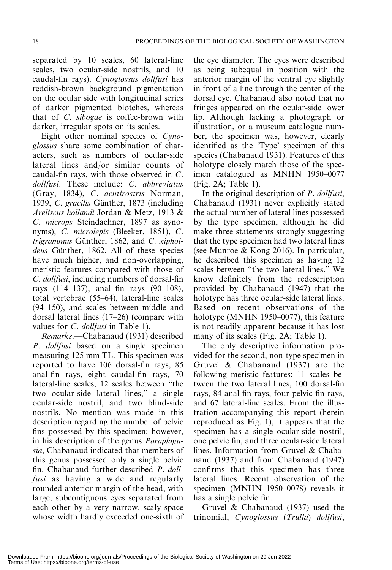separated by 10 scales, 60 lateral-line scales, two ocular-side nostrils, and 10 caudal-fin rays). Cynoglossus dollfusi has reddish-brown background pigmentation on the ocular side with longitudinal series of darker pigmented blotches, whereas that of C. sibogae is coffee-brown with darker, irregular spots on its scales.

Eight other nominal species of Cynoglossus share some combination of characters, such as numbers of ocular-side lateral lines and/or similar counts of caudal-fin rays, with those observed in C. dollfusi. These include: C. abbreviatus (Gray, 1834), C. acutirostris Norman, 1939, C. gracilis Günther, 1873 (including Areliscus hollandi Jordan & Metz, 1913 & C. microps Steindachner, 1897 as synonyms), C. microlepis (Bleeker, 1851), C. trigrammus Günther, 1862, and C. xiphoideus Günther, 1862. All of these species have much higher, and non-overlapping, meristic features compared with those of C. dollfusi, including numbers of dorsal-fin rays (114–137), anal–fin rays (90–108), total vertebrae (55–64), lateral-line scales (94–150), and scales between middle and dorsal lateral lines (17–26) (compare with values for *C. dollfusi* in Table 1).

Remarks.—Chabanaud (1931) described P. *dollfusi* based on a single specimen measuring 125 mm TL. This specimen was reported to have 106 dorsal-fin rays, 85 anal-fin rays, eight caudal-fin rays, 70 lateral-line scales, 12 scales between ''the two ocular-side lateral lines,'' a single ocular-side nostril, and two blind-side nostrils. No mention was made in this description regarding the number of pelvic fins possessed by this specimen; however, in his description of the genus Paraplagusia, Chabanaud indicated that members of this genus possessed only a single pelvic fin. Chabanaud further described P. dollfusi as having a wide and regularly rounded anterior margin of the head, with large, subcontiguous eyes separated from each other by a very narrow, scaly space whose width hardly exceeded one-sixth of the eye diameter. The eyes were described as being subequal in position with the anterior margin of the ventral eye slightly in front of a line through the center of the dorsal eye. Chabanaud also noted that no fringes appeared on the ocular-side lower lip. Although lacking a photograph or illustration, or a museum catalogue number, the specimen was, however, clearly identified as the 'Type' specimen of this species (Chabanaud 1931). Features of this holotype closely match those of the specimen catalogued as MNHN 1950–0077 (Fig. 2A; Table 1).

In the original description of *P. dollfusi*, Chabanaud (1931) never explicitly stated the actual number of lateral lines possessed by the type specimen, although he did make three statements strongly suggesting that the type specimen had two lateral lines (see Munroe & Kong 2016). In particular, he described this specimen as having 12 scales between ''the two lateral lines.'' We know definitely from the redescription provided by Chabanaud (1947) that the holotype has three ocular-side lateral lines. Based on recent observations of the holotype (MNHN 1950–0077), this feature is not readily apparent because it has lost many of its scales (Fig. 2A; Table 1).

The only descriptive information provided for the second, non-type specimen in Gruvel & Chabanaud (1937) are the following meristic features: 11 scales between the two lateral lines, 100 dorsal-fin rays, 84 anal-fin rays, four pelvic fin rays, and 67 lateral-line scales. From the illustration accompanying this report (herein reproduced as Fig. 1), it appears that the specimen has a single ocular-side nostril, one pelvic fin, and three ocular-side lateral lines. Information from Gruvel & Chabanaud (1937) and from Chabanaud (1947) confirms that this specimen has three lateral lines. Recent observation of the specimen (MNHN 1950–0078) reveals it has a single pelvic fin.

Gruvel & Chabanaud (1937) used the trinomial, Cynoglossus (Trulla) dollfusi,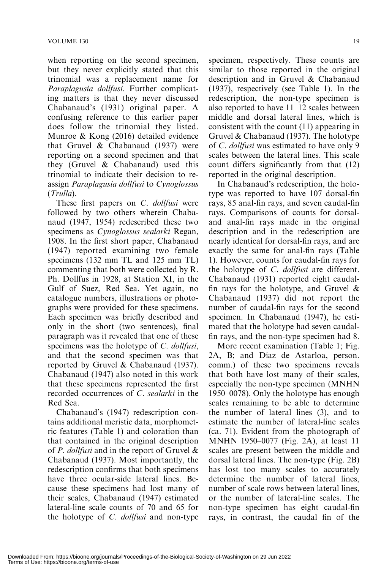when reporting on the second specimen, but they never explicitly stated that this trinomial was a replacement name for Paraplagusia dollfusi. Further complicating matters is that they never discussed Chabanaud's (1931) original paper. A confusing reference to this earlier paper does follow the trinomial they listed. Munroe & Kong (2016) detailed evidence that Gruvel & Chabanaud (1937) were reporting on a second specimen and that they (Gruvel & Chabanaud) used this trinomial to indicate their decision to reassign Paraplagusia dollfusi to Cynoglossus (Trulla).

These first papers on C. *dollfusi* were followed by two others wherein Chabanaud (1947, 1954) redescribed these two specimens as Cynoglossus sealarki Regan, 1908. In the first short paper, Chabanaud (1947) reported examining two female specimens (132 mm TL and 125 mm TL) commenting that both were collected by R. Ph. Dollfus in 1928, at Station XI, in the Gulf of Suez, Red Sea. Yet again, no catalogue numbers, illustrations or photographs were provided for these specimens. Each specimen was briefly described and only in the short (two sentences), final paragraph was it revealed that one of these specimens was the holotype of C. dollfusi, and that the second specimen was that reported by Gruvel & Chabanaud (1937). Chabanaud (1947) also noted in this work that these specimens represented the first recorded occurrences of C. sealarki in the Red Sea.

Chabanaud's (1947) redescription contains additional meristic data, morphometric features (Table 1) and coloration than that contained in the original description of *P. dollfusi* and in the report of Gruvel  $\&$ Chabanaud (1937). Most importantly, the redescription confirms that both specimens have three ocular-side lateral lines. Because these specimens had lost many of their scales, Chabanaud (1947) estimated lateral-line scale counts of 70 and 65 for the holotype of *C. dollfusi* and non-type specimen, respectively. These counts are similar to those reported in the original description and in Gruvel & Chabanaud (1937), respectively (see Table 1). In the redescription, the non-type specimen is also reported to have 11–12 scales between middle and dorsal lateral lines, which is consistent with the count (11) appearing in Gruvel & Chabanaud (1937). The holotype of C. dollfusi was estimated to have only 9 scales between the lateral lines. This scale count differs significantly from that (12) reported in the original description.

In Chabanaud's redescription, the holotype was reported to have 107 dorsal-fin rays, 85 anal-fin rays, and seven caudal-fin rays. Comparisons of counts for dorsaland anal-fin rays made in the original description and in the redescription are nearly identical for dorsal-fin rays, and are exactly the same for anal-fin rays (Table 1). However, counts for caudal-fin rays for the holotype of C. dollfusi are different. Chabanaud (1931) reported eight caudalfin rays for the holotype, and Gruvel  $\&$ Chabanaud (1937) did not report the number of caudal-fin rays for the second specimen. In Chabanaud (1947), he estimated that the holotype had seven caudalfin rays, and the non-type specimen had 8.

More recent examination (Table 1; Fig. 2A, B; and Díaz de Astarloa, person. comm.) of these two specimens reveals that both have lost many of their scales, especially the non-type specimen (MNHN 1950–0078). Only the holotype has enough scales remaining to be able to determine the number of lateral lines (3), and to estimate the number of lateral-line scales (ca. 71). Evident from the photograph of MNHN 1950–0077 (Fig. 2A), at least 11 scales are present between the middle and dorsal lateral lines. The non-type (Fig. 2B) has lost too many scales to accurately determine the number of lateral lines, number of scale rows between lateral lines, or the number of lateral-line scales. The non-type specimen has eight caudal-fin rays, in contrast, the caudal fin of the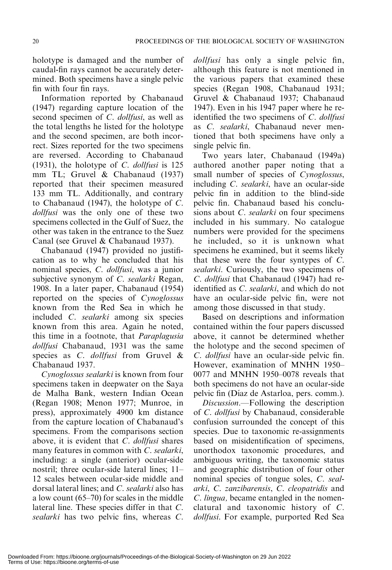holotype is damaged and the number of caudal-fin rays cannot be accurately determined. Both specimens have a single pelvic fin with four fin rays.

Information reported by Chabanaud (1947) regarding capture location of the second specimen of C. dollfusi, as well as the total lengths he listed for the holotype and the second specimen, are both incorrect. Sizes reported for the two specimens are reversed. According to Chabanaud (1931), the holotype of C. dollfusi is 125 mm TL; Gruvel & Chabanaud (1937) reported that their specimen measured 133 mm TL. Additionally, and contrary to Chabanaud (1947), the holotype of C. dollfusi was the only one of these two specimens collected in the Gulf of Suez, the other was taken in the entrance to the Suez Canal (see Gruvel & Chabanaud 1937).

Chabanaud (1947) provided no justification as to why he concluded that his nominal species, C. dollfusi, was a junior subjective synonym of C. sealarki Regan, 1908. In a later paper, Chabanaud (1954) reported on the species of Cynoglossus known from the Red Sea in which he included C. sealarki among six species known from this area. Again he noted, this time in a footnote, that Paraplagusia dollfusi Chabanaud, 1931 was the same species as C. *dollfusi* from Gruvel & Chabanaud 1937.

Cynoglossus sealarki is known from four specimens taken in deepwater on the Saya de Malha Bank, western Indian Ocean (Regan 1908; Menon 1977; Munroe, in press), approximately 4900 km distance from the capture location of Chabanaud's specimens. From the comparisons section above, it is evident that C. dollfusi shares many features in common with C. sealarki, including: a single (anterior) ocular-side nostril; three ocular-side lateral lines; 11– 12 scales between ocular-side middle and dorsal lateral lines; and C. sealarki also has a low count (65–70) for scales in the middle lateral line. These species differ in that C. sealarki has two pelvic fins, whereas C.

dollfusi has only a single pelvic fin, although this feature is not mentioned in the various papers that examined these species (Regan 1908, Chabanaud 1931; Gruvel & Chabanaud 1937; Chabanaud 1947). Even in his 1947 paper where he reidentified the two specimens of C. dollfusi as C. sealarki, Chabanaud never mentioned that both specimens have only a single pelvic fin.

Two years later, Chabanaud (1949a) authored another paper noting that a small number of species of Cynoglossus, including C. sealarki, have an ocular-side pelvic fin in addition to the blind-side pelvic fin. Chabanaud based his conclusions about *C. sealarki* on four specimens included in his summary. No catalogue numbers were provided for the specimens he included, so it is unknown what specimens he examined, but it seems likely that these were the four syntypes of C. sealarki. Curiously, the two specimens of C. dollfusi that Chabanaud (1947) had reidentified as C. sealarki, and which do not have an ocular-side pelvic fin, were not among those discussed in that study.

Based on descriptions and information contained within the four papers discussed above, it cannot be determined whether the holotype and the second specimen of C. dollfusi have an ocular-side pelvic fin. However, examination of MNHN 1950– 0077 and MNHN 1950–0078 reveals that both specimens do not have an ocular-side pelvic fin (Díaz de Astarloa, pers. comm.).

Discussion.—Following the description of C. dollfusi by Chabanaud, considerable confusion surrounded the concept of this species. Due to taxonomic re-assignments based on misidentification of specimens, unorthodox taxonomic procedures, and ambiguous writing, the taxonomic status and geographic distribution of four other nominal species of tongue soles, C. sealarki, C. zanzibarensis, C. cleopatridis and C. lingua, became entangled in the nomenclatural and taxonomic history of C. dollfusi. For example, purported Red Sea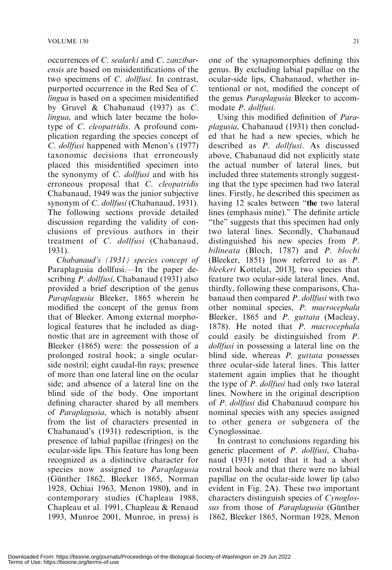occurrences of C. sealarki and C. zanzibarensis are based on misidentifications of the two specimens of C. dollfusi. In contrast, purported occurrence in the Red Sea of C. lingua is based on a specimen misidentified by Gruvel & Chabanaud (1937) as C. lingua, and which later became the holotype of C. cleopatridis. A profound complication regarding the species concept of C. dollfusi happened with Menon's (1977) taxonomic decisions that erroneously placed this misidentified specimen into the synonymy of C. dollfusi and with his erroneous proposal that C. cleopatridis Chabanaud, 1949 was the junior subjective synonym of C. dollfusi (Chabanaud, 1931). The following sections provide detailed discussion regarding the validity of conclusions of previous authors in their treatment of C. dollfusi (Chabanaud, 1931).

Chabanaud's (1931) species concept of Paraplagusia dollfusi.—In the paper describing *P. dollfusi*, Chabanaud (1931) also provided a brief description of the genus Paraplagusia Bleeker, 1865 wherein he modified the concept of the genus from that of Bleeker. Among external morphological features that he included as diagnostic that are in agreement with those of Bleeker (1865) were: the possession of a prolonged rostral hook; a single ocularside nostril; eight caudal-fin rays; presence of more than one lateral line on the ocular side; and absence of a lateral line on the blind side of the body. One important defining character shared by all members of Paraplagusia, which is notably absent from the list of characters presented in Chabanaud's (1931) redescription, is the presence of labial papillae (fringes) on the ocular-side lips. This feature has long been recognized as a distinctive character for species now assigned to *Paraplagusia* (Günther 1862, Bleeker 1865, Norman 1928, Ochiai 1963, Menon 1980), and in contemporary studies (Chapleau 1988, Chapleau et al. 1991, Chapleau & Renaud 1993, Munroe 2001, Munroe, in press) is

one of the synapomorphies defining this genus. By excluding labial papillae on the ocular-side lips, Chabanaud, whether intentional or not, modified the concept of the genus Paraplagusia Bleeker to accommodate P. dollfusi.

Using this modified definition of Paraplagusia, Chabanaud (1931) then concluded that he had a new species, which he described as P. dollfusi. As discussed above, Chabanaud did not explicitly state the actual number of lateral lines, but included three statements strongly suggesting that the type specimen had two lateral lines. Firstly, he described this specimen as having 12 scales between "the two lateral lines (emphasis mine).'' The definite article "the" suggests that this specimen had only two lateral lines. Secondly, Chabanaud distinguished his new species from *P*. bilineata (Bloch, 1787) and P. blochi (Bleeker, 1851) [now referred to as P. bleekeri Kottelat, 2013], two species that feature two ocular-side lateral lines. And, thirdly, following these comparisons, Chabanaud then compared *P. dollfusi* with two other nominal species, P. macrocephala Bleeker, 1865 and P. guttata (Macleay, 1878). He noted that P. macrocephala could easily be distinguished from P. dollfusi in possessing a lateral line on the blind side, whereas *P. guttata* possesses three ocular-side lateral lines. This latter statement again implies that he thought the type of P. dollfusi had only two lateral lines. Nowhere in the original description of P. dollfusi did Chabanaud compare his nominal species with any species assigned to other genera or subgenera of the Cynoglossinae.

In contrast to conclusions regarding his generic placement of P. dollfusi, Chabanaud (1931) noted that it had a short rostral hook and that there were no labial papillae on the ocular-side lower lip (also evident in Fig. 2A). These two important characters distinguish species of Cynoglossus from those of *Paraplagusia* (Günther 1862, Bleeker 1865, Norman 1928, Menon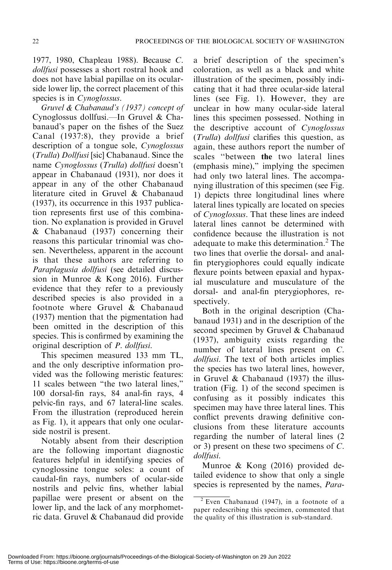# 1977, 1980, Chapleau 1988). Because C. dollfusi possesses a short rostral hook and does not have labial papillae on its ocularside lower lip, the correct placement of this species is in *Cynoglossus*.

Gruvel & Chabanaud's (1937) concept of Cynoglossus dollfusi.—In Gruvel & Chabanaud's paper on the fishes of the Suez Canal (1937:8), they provide a brief description of a tongue sole, Cynoglossus (Trulla) Dollfusi [sic] Chabanaud. Since the name Cynoglossus (Trulla) dollfusi doesn't appear in Chabanaud (1931), nor does it appear in any of the other Chabanaud literature cited in Gruvel & Chabanaud (1937), its occurrence in this 1937 publication represents first use of this combination. No explanation is provided in Gruvel & Chabanaud (1937) concerning their reasons this particular trinomial was chosen. Nevertheless, apparent in the account is that these authors are referring to Paraplagusia dollfusi (see detailed discussion in Munroe & Kong 2016). Further evidence that they refer to a previously described species is also provided in a footnote where Gruvel & Chabanaud (1937) mention that the pigmentation had been omitted in the description of this species. This is confirmed by examining the original description of P. dollfusi.

This specimen measured 133 mm TL, and the only descriptive information provided was the following meristic features: 11 scales between ''the two lateral lines,'' 100 dorsal-fin rays, 84 anal-fin rays, 4 pelvic-fin rays, and 67 lateral-line scales. From the illustration (reproduced herein as Fig. 1), it appears that only one ocularside nostril is present.

Notably absent from their description are the following important diagnostic features helpful in identifying species of cynoglossine tongue soles: a count of caudal-fin rays, numbers of ocular-side nostrils and pelvic fins, whether labial papillae were present or absent on the lower lip, and the lack of any morphometric data. Gruvel & Chabanaud did provide a brief description of the specimen's coloration, as well as a black and white illustration of the specimen, possibly indicating that it had three ocular-side lateral lines (see Fig. 1). However, they are unclear in how many ocular-side lateral lines this specimen possessed. Nothing in the descriptive account of Cynoglossus (Trulla) dollfusi clarifies this question, as again, these authors report the number of scales ''between the two lateral lines (emphasis mine),'' implying the specimen had only two lateral lines. The accompanying illustration of this specimen (see Fig. 1) depicts three longitudinal lines where lateral lines typically are located on species of Cynoglossus. That these lines are indeed lateral lines cannot be determined with confidence because the illustration is not adequate to make this determination.<sup>2</sup> The two lines that overlie the dorsal- and analfin pterygiophores could equally indicate flexure points between epaxial and hypaxial musculature and musculature of the dorsal- and anal-fin pterygiophores, respectively.

Both in the original description (Chabanaud 1931) and in the description of the second specimen by Gruvel & Chabanaud (1937), ambiguity exists regarding the number of lateral lines present on C. dollfusi. The text of both articles implies the species has two lateral lines, however, in Gruvel & Chabanaud (1937) the illustration (Fig. 1) of the second specimen is confusing as it possibly indicates this specimen may have three lateral lines. This conflict prevents drawing definitive conclusions from these literature accounts regarding the number of lateral lines (2 or 3) present on these two specimens of C. dollfusi.

Munroe & Kong (2016) provided detailed evidence to show that only a single species is represented by the names, Para-

 $2$  Even Chabanaud (1947), in a footnote of a paper redescribing this specimen, commented that the quality of this illustration is sub-standard.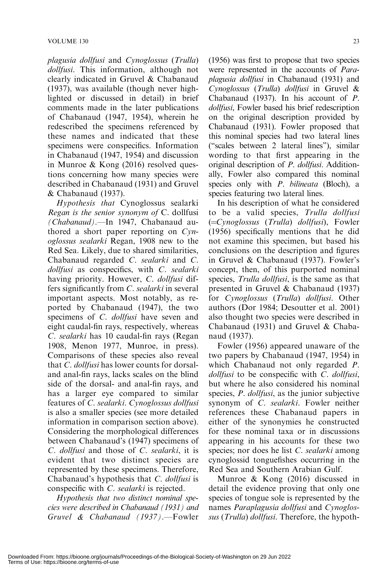plagusia dollfusi and Cynoglossus (Trulla) dollfusi. This information, although not clearly indicated in Gruvel & Chabanaud (1937), was available (though never highlighted or discussed in detail) in brief comments made in the later publications of Chabanaud (1947, 1954), wherein he redescribed the specimens referenced by these names and indicated that these specimens were conspecifics. Information in Chabanaud (1947, 1954) and discussion in Munroe & Kong (2016) resolved questions concerning how many species were described in Chabanaud (1931) and Gruvel & Chabanaud (1937).

Hypothesis that Cynoglossus sealarki Regan is the senior synonym of C. dollfusi (Chabanaud).—In 1947, Chabanaud authored a short paper reporting on Cynoglossus sealarki Regan, 1908 new to the Red Sea. Likely, due to shared similarities, Chabanaud regarded C. sealarki and C.  $d$ ollfusi as conspecifics, with  $C$ . sealarki having priority. However, C. dollfusi differs significantly from C. sealarki in several important aspects. Most notably, as reported by Chabanaud (1947), the two specimens of *C. dollfusi* have seven and eight caudal-fin rays, respectively, whereas C. sealarki has 10 caudal-fin rays (Regan 1908, Menon 1977, Munroe, in press). Comparisons of these species also reveal that C. dollfusi has lower counts for dorsaland anal-fin rays, lacks scales on the blind side of the dorsal- and anal-fin rays, and has a larger eye compared to similar features of C. sealarki. Cynoglossus dollfusi is also a smaller species (see more detailed information in comparison section above). Considering the morphological differences between Chabanaud's (1947) specimens of C. dollfusi and those of C. sealarki, it is evident that two distinct species are represented by these specimens. Therefore, Chabanaud's hypothesis that C. dollfusi is conspecific with C. sealarki is rejected.

Hypothesis that two distinct nominal species were described in Chabanaud (1931) and Gruvel & Chabanaud (1937).—Fowler (1956) was first to propose that two species were represented in the accounts of Paraplagusia dollfusi in Chabanaud (1931) and Cynoglossus (Trulla) dollfusi in Gruvel & Chabanaud (1937). In his account of P. dollfusi, Fowler based his brief redescription on the original description provided by Chabanaud (1931). Fowler proposed that this nominal species had two lateral lines (''scales between 2 lateral lines''), similar wording to that first appearing in the original description of P. dollfusi. Additionally, Fowler also compared this nominal species only with *P. bilineata* (Bloch), a species featuring two lateral lines.

In his description of what he considered to be a valid species, Trulla dollfusi  $(=\frac{C}{V}$  Cynoglossus (Trulla) dollfusi), Fowler (1956) specifically mentions that he did not examine this specimen, but based his conclusions on the description and figures in Gruvel & Chabanaud (1937). Fowler's concept, then, of this purported nominal species, *Trulla dollfusi*, is the same as that presented in Gruvel & Chabanaud (1937) for Cynoglossus (Trulla) dollfusi. Other authors (Dor 1984; Desoutter et al. 2001) also thought two species were described in Chabanaud (1931) and Gruvel & Chabanaud (1937).

Fowler (1956) appeared unaware of the two papers by Chabanaud (1947, 1954) in which Chabanaud not only regarded *P*. dollfusi to be conspecific with C. dollfusi, but where he also considered his nominal species, *P. dollfusi*, as the junior subjective synonym of C. sealarki. Fowler neither references these Chabanaud papers in either of the synonymies he constructed for these nominal taxa or in discussions appearing in his accounts for these two species; nor does he list C. sealarki among cynoglossid tonguefishes occurring in the Red Sea and Southern Arabian Gulf.

Munroe & Kong (2016) discussed in detail the evidence proving that only one species of tongue sole is represented by the names Paraplagusia dollfusi and Cynoglossus (Trulla) dollfusi. Therefore, the hypoth-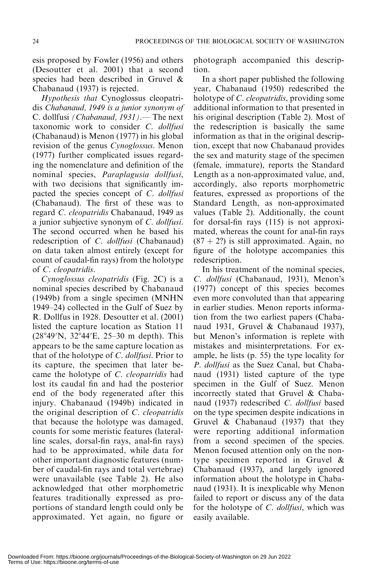esis proposed by Fowler (1956) and others (Desoutter et al. 2001) that a second species had been described in Gruvel & Chabanaud (1937) is rejected.

Hypothesis that Cynoglossus cleopatridis Chabanaud, 1949 is a junior synonym of C. dollfusi (Chabanaud, 1931).— The next taxonomic work to consider C. dollfusi (Chabanaud) is Menon (1977) in his global revision of the genus Cynoglossus. Menon (1977) further complicated issues regarding the nomenclature and definition of the nominal species, Paraplagusia dollfusi, with two decisions that significantly impacted the species concept of C. dollfusi (Chabanaud). The first of these was to regard C. cleopatridis Chabanaud, 1949 as a junior subjective synonym of C. dollfusi. The second occurred when he based his redescription of C. dollfusi (Chabanaud) on data taken almost entirely (except for count of caudal-fin rays) from the holotype of C. cleopatridis.

Cynoglossus cleopatridis (Fig. 2C) is a nominal species described by Chabanaud (1949b) from a single specimen (MNHN 1949–24) collected in the Gulf of Suez by R. Dollfus in 1928. Desoutter et al. (2001) listed the capture location as Station 11  $(28°49'N, 32°44'E, 25–30 m depth)$ . This appears to be the same capture location as that of the holotype of C. dollfusi. Prior to its capture, the specimen that later became the holotype of C. cleopatridis had lost its caudal fin and had the posterior end of the body regenerated after this injury. Chabanaud (1949b) indicated in the original description of C. cleopatridis that because the holotype was damaged, counts for some meristic features (lateralline scales, dorsal-fin rays, anal-fin rays) had to be approximated, while data for other important diagnostic features (number of caudal-fin rays and total vertebrae) were unavailable (see Table 2). He also acknowledged that other morphometric features traditionally expressed as proportions of standard length could only be approximated. Yet again, no figure or photograph accompanied this description.

In a short paper published the following year, Chabanaud (1950) redescribed the holotype of *C. cleopatridis*, providing some additional information to that presented in his original description (Table 2). Most of the redescription is basically the same information as that in the original description, except that now Chabanaud provides the sex and maturity stage of the specimen (female, immature), reports the Standard Length as a non-approximated value, and, accordingly, also reports morphometric features, expressed as proportions of the Standard Length, as non-approximated values (Table 2). Additionally, the count for dorsal-fin rays (115) is not approximated, whereas the count for anal-fin rays  $(87 + 2?)$  is still approximated. Again, no figure of the holotype accompanies this redescription.

In his treatment of the nominal species, C. dollfusi (Chabanaud, 1931), Menon's (1977) concept of this species becomes even more convoluted than that appearing in earlier studies. Menon reports information from the two earliest papers (Chabanaud 1931, Gruvel & Chabanaud 1937), but Menon's information is replete with mistakes and misinterpretations. For example, he lists (p. 55) the type locality for P. dollfusi as the Suez Canal, but Chabanaud (1931) listed capture of the type specimen in the Gulf of Suez. Menon incorrectly stated that Gruvel & Chabanaud (1937) redescribed C. dollfusi based on the type specimen despite indications in Gruvel & Chabanaud (1937) that they were reporting additional information from a second specimen of the species. Menon focused attention only on the nontype specimen reported in Gruvel & Chabanaud (1937), and largely ignored information about the holotype in Chabanaud (1931). It is inexplicable why Menon failed to report or discuss any of the data for the holotype of C. dollfusi, which was easily available.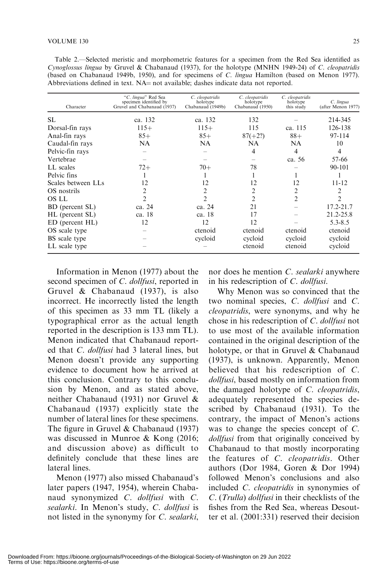Table 2.—Selected meristic and morphometric features for a specimen from the Red Sea identified as Cynoglossus lingua by Gruvel & Chabanaud (1937), for the holotype (MNHN 1949-24) of C. cleopatridis (based on Chabanaud 1949b, 1950), and for specimens of C. lingua Hamilton (based on Menon 1977). Abbreviations defined in text.  $NA = not available$ ; dashes indicate data not reported.

| Character          | "C. lingua" Red Sea<br>specimen identified by<br>Gruvel and Chabanaud (1937) | C. cleopatridis<br>holotype<br>Chabanaud (1949b) | C. cleopatridis<br>holotype<br>Chabanaud (1950) | C. cleopatridis<br>holotype<br>this study | C. lingua<br>(after Menon 1977) |
|--------------------|------------------------------------------------------------------------------|--------------------------------------------------|-------------------------------------------------|-------------------------------------------|---------------------------------|
| SL.                | ca. 132                                                                      | ca. 132                                          | 132                                             |                                           | 214-345                         |
| Dorsal-fin rays    | $115+$                                                                       | $115+$                                           | 115                                             | ca. 115                                   | 126-138                         |
| Anal-fin rays      | $85+$                                                                        | $85+$                                            | $87(+2?)$                                       | $88+$                                     | 97-114                          |
| Caudal-fin rays    | NA                                                                           | <b>NA</b>                                        | NA                                              | <b>NA</b>                                 | 10                              |
| Pelvic-fin rays    |                                                                              |                                                  | 4                                               | 4                                         | 4                               |
| Vertebrae          |                                                                              |                                                  |                                                 | ca. 56                                    | 57-66                           |
| LL scales          | $72+$                                                                        | $70+$                                            | 78                                              |                                           | $90 - 101$                      |
| Pelvic fins        |                                                                              |                                                  |                                                 |                                           |                                 |
| Scales between LLs | 12                                                                           | 12                                               | 12                                              | 12                                        | $11 - 12$                       |
| OS nostrils        | $\mathfrak{D}$                                                               | 2                                                | $\mathfrak{D}$                                  | 2                                         | $\mathfrak{D}$                  |
| OS LL              | $\mathcal{D}$                                                                | $\mathfrak{D}$                                   | $\mathfrak{D}$                                  | $\mathfrak{D}$                            | $\mathcal{D}_{\mathcal{L}}$     |
| BD (percent SL)    | ca. 24                                                                       | ca. 24                                           | 21                                              |                                           | $17.2 - 21.7$                   |
| HL (percent SL)    | ca. 18                                                                       | ca. 18                                           | 17                                              |                                           | 21.2-25.8                       |
| ED (percent HL)    | 12                                                                           | 12                                               | 12                                              |                                           | $5.3 - 8.5$                     |
| OS scale type      |                                                                              | ctenoid                                          | ctenoid                                         | ctenoid                                   | ctenoid                         |
| BS scale type      |                                                                              | cycloid                                          | cycloid                                         | cycloid                                   | cycloid                         |
| LL scale type      |                                                                              |                                                  | ctenoid                                         | ctenoid                                   | cycloid                         |

Information in Menon (1977) about the second specimen of C. dollfusi, reported in Gruvel & Chabanaud (1937), is also incorrect. He incorrectly listed the length of this specimen as 33 mm TL (likely a typographical error as the actual length reported in the description is 133 mm TL). Menon indicated that Chabanaud reported that C. dollfusi had 3 lateral lines, but Menon doesn't provide any supporting evidence to document how he arrived at this conclusion. Contrary to this conclusion by Menon, and as stated above, neither Chabanaud (1931) nor Gruvel & Chabanaud (1937) explicitly state the number of lateral lines for these specimens. The figure in Gruvel & Chabanaud (1937) was discussed in Munroe & Kong (2016; and discussion above) as difficult to definitely conclude that these lines are lateral lines.

Menon (1977) also missed Chabanaud's later papers (1947, 1954), wherein Chabanaud synonymized C. dollfusi with C. sealarki. In Menon's study, C. dollfusi is not listed in the synonymy for C. sealarki,

nor does he mention C. sealarki anywhere in his redescription of C. dollfusi.

Why Menon was so convinced that the two nominal species, C. dollfusi and C. cleopatridis, were synonyms, and why he chose in his redescription of C. dollfusi not to use most of the available information contained in the original description of the holotype, or that in Gruvel & Chabanaud (1937), is unknown. Apparently, Menon believed that his redescription of C. dollfusi, based mostly on information from the damaged holotype of C. cleopatridis, adequately represented the species described by Chabanaud (1931). To the contrary, the impact of Menon's actions was to change the species concept of C. dollfusi from that originally conceived by Chabanaud to that mostly incorporating the features of C. cleopatridis. Other authors (Dor 1984, Goren & Dor 1994) followed Menon's conclusions and also included C. cleopatridis in synonymies of C. (Trulla) dollfusi in their checklists of the fishes from the Red Sea, whereas Desoutter et al. (2001:331) reserved their decision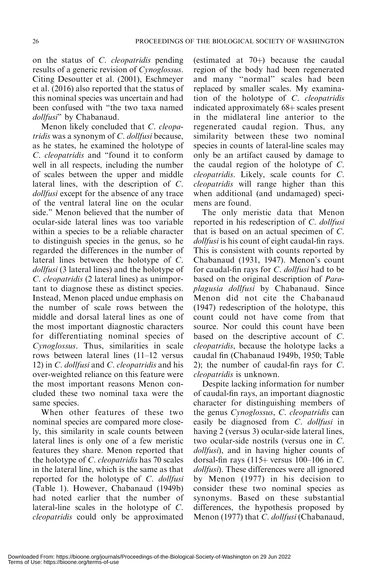on the status of C. cleopatridis pending results of a generic revision of Cynoglossus. Citing Desoutter et al. (2001), Eschmeyer et al. (2016) also reported that the status of this nominal species was uncertain and had been confused with ''the two taxa named dollfusi" by Chabanaud.

Menon likely concluded that C. cleopatridis was a synonym of  $C$ . dollfusi because, as he states, he examined the holotype of C. cleopatridis and ''found it to conform well in all respects, including the number of scales between the upper and middle lateral lines, with the description of C. dollfusi except for the absence of any trace of the ventral lateral line on the ocular side.'' Menon believed that the number of ocular-side lateral lines was too variable within a species to be a reliable character to distinguish species in the genus, so he regarded the differences in the number of lateral lines between the holotype of C. dollfusi (3 lateral lines) and the holotype of C. cleopatridis (2 lateral lines) as unimportant to diagnose these as distinct species. Instead, Menon placed undue emphasis on the number of scale rows between the middle and dorsal lateral lines as one of the most important diagnostic characters for differentiating nominal species of Cynoglossus. Thus, similarities in scale rows between lateral lines (11–12 versus 12) in C. dollfusi and C. cleopatridis and his over-weighted reliance on this feature were the most important reasons Menon concluded these two nominal taxa were the same species.

When other features of these two nominal species are compared more closely, this similarity in scale counts between lateral lines is only one of a few meristic features they share. Menon reported that the holotype of C. cleopatridis has 70 scales in the lateral line, which is the same as that reported for the holotype of C. dollfusi (Table 1). However, Chabanaud (1949b) had noted earlier that the number of lateral-line scales in the holotype of C. cleopatridis could only be approximated

(estimated at  $70+$ ) because the caudal region of the body had been regenerated and many ''normal'' scales had been replaced by smaller scales. My examination of the holotype of C. cleopatridis indicated approximately  $68 +$  scales present in the midlateral line anterior to the regenerated caudal region. Thus, any similarity between these two nominal species in counts of lateral-line scales may only be an artifact caused by damage to the caudal region of the holotype of C. cleopatridis. Likely, scale counts for C. cleopatridis will range higher than this when additional (and undamaged) specimens are found.

The only meristic data that Menon reported in his redescription of C. *dollfusi* that is based on an actual specimen of C. dollfusi is his count of eight caudal-fin rays. This is consistent with counts reported by Chabanaud (1931, 1947). Menon's count for caudal-fin rays for C. dollfusi had to be based on the original description of Paraplagusia dollfusi by Chabanaud. Since Menon did not cite the Chabanaud (1947) redescription of the holotype, this count could not have come from that source. Nor could this count have been based on the descriptive account of C. cleopatridis, because the holotype lacks a caudal fin (Chabanaud 1949b, 1950; Table 2); the number of caudal-fin rays for C. cleopatridis is unknown.

Despite lacking information for number of caudal-fin rays, an important diagnostic character for distinguishing members of the genus Cynoglossus, C. cleopatridis can easily be diagnosed from C. *dollfusi* in having 2 (versus 3) ocular-side lateral lines, two ocular-side nostrils (versus one in C. dollfusi), and in having higher counts of dorsal-fin rays  $(115 + \text{versus } 100 - 106 \text{ in } C$ . dollfusi). These differences were all ignored by Menon (1977) in his decision to consider these two nominal species as synonyms. Based on these substantial differences, the hypothesis proposed by Menon (1977) that *C. dollfusi* (Chabanaud,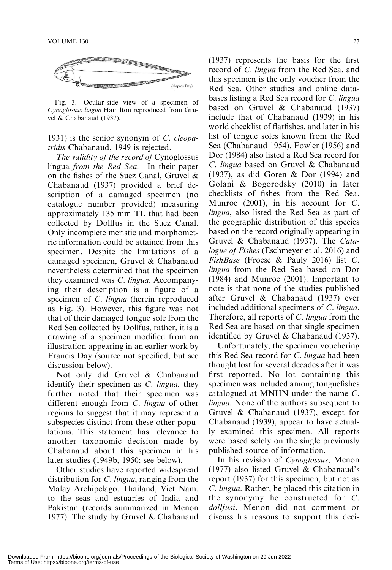

Fig. 3. Ocular-side view of a specimen of Cynoglossus lingua Hamilton reproduced from Gruvel & Chabanaud (1937).

1931) is the senior synonym of C. cleopatridis Chabanaud, 1949 is rejected.

The validity of the record of Cynoglossus lingua from the Red Sea.—In their paper on the fishes of the Suez Canal, Gruvel & Chabanaud (1937) provided a brief description of a damaged specimen (no catalogue number provided) measuring approximately 135 mm TL that had been collected by Dollfus in the Suez Canal. Only incomplete meristic and morphometric information could be attained from this specimen. Despite the limitations of a damaged specimen, Gruvel & Chabanaud nevertheless determined that the specimen they examined was C. lingua. Accompanying their description is a figure of a specimen of C. lingua (herein reproduced as Fig. 3). However, this figure was not that of their damaged tongue sole from the Red Sea collected by Dollfus, rather, it is a drawing of a specimen modified from an illustration appearing in an earlier work by Francis Day (source not specified, but see discussion below).

Not only did Gruvel & Chabanaud identify their specimen as C. lingua, they further noted that their specimen was different enough from C. lingua of other regions to suggest that it may represent a subspecies distinct from these other populations. This statement has relevance to another taxonomic decision made by Chabanaud about this specimen in his later studies (1949b, 1950; see below).

Other studies have reported widespread distribution for *C. lingua*, ranging from the Malay Archipelago, Thailand, Viet Nam, to the seas and estuaries of India and Pakistan (records summarized in Menon 1977). The study by Gruvel & Chabanaud (1937) represents the basis for the first record of C. lingua from the Red Sea, and this specimen is the only voucher from the

Red Sea. Other studies and online databases listing a Red Sea record for C. lingua based on Gruvel & Chabanaud (1937) include that of Chabanaud (1939) in his world checklist of flatfishes, and later in his list of tongue soles known from the Red Sea (Chabanaud 1954). Fowler (1956) and Dor (1984) also listed a Red Sea record for C. lingua based on Gruvel & Chabanaud (1937), as did Goren & Dor (1994) and Golani & Bogorodsky (2010) in later checklists of fishes from the Red Sea. Munroe (2001), in his account for C. lingua, also listed the Red Sea as part of the geographic distribution of this species based on the record originally appearing in Gruvel & Chabanaud (1937). The Catalogue of Fishes (Eschmeyer et al. 2016) and FishBase (Froese & Pauly 2016) list C. lingua from the Red Sea based on Dor (1984) and Munroe (2001). Important to note is that none of the studies published after Gruvel & Chabanaud (1937) ever included additional specimens of C. lingua. Therefore, all reports of C. *lingua* from the Red Sea are based on that single specimen identified by Gruvel & Chabanaud (1937).

Unfortunately, the specimen vouchering this Red Sea record for C. lingua had been thought lost for several decades after it was first reported. No lot containing this specimen was included among tonguefishes catalogued at MNHN under the name C. lingua. None of the authors subsequent to Gruvel & Chabanaud (1937), except for Chabanaud (1939), appear to have actually examined this specimen. All reports were based solely on the single previously published source of information.

In his revision of Cynoglossus, Menon (1977) also listed Gruvel & Chabanaud's report (1937) for this specimen, but not as C. lingua. Rather, he placed this citation in the synonymy he constructed for C. dollfusi. Menon did not comment or discuss his reasons to support this deci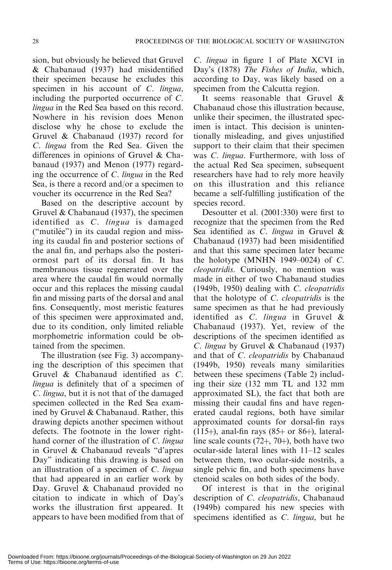sion, but obviously he believed that Gruvel & Chabanaud (1937) had misidentified their specimen because he excludes this specimen in his account of C. lingua, including the purported occurrence of C. lingua in the Red Sea based on this record. Nowhere in his revision does Menon disclose why he chose to exclude the Gruvel & Chabanaud (1937) record for C. lingua from the Red Sea. Given the differences in opinions of Gruvel & Chabanaud (1937) and Menon (1977) regarding the occurrence of C. lingua in the Red Sea, is there a record and/or a specimen to voucher its occurrence in the Red Sea?

Based on the descriptive account by Gruvel & Chabanaud (1937), the specimen identified as C. lingua is damaged ("mutilée") in its caudal region and missing its caudal fin and posterior sections of the anal fin, and perhaps also the posteriormost part of its dorsal fin. It has membranous tissue regenerated over the area where the caudal fin would normally occur and this replaces the missing caudal fin and missing parts of the dorsal and anal fins. Consequently, most meristic features of this specimen were approximated and, due to its condition, only limited reliable morphometric information could be obtained from the specimen.

The illustration (see Fig. 3) accompanying the description of this specimen that Gruvel & Chabanaud identified as C. lingua is definitely that of a specimen of C. lingua, but it is not that of the damaged specimen collected in the Red Sea examined by Gruvel & Chabanaud. Rather, this drawing depicts another specimen without defects. The footnote in the lower righthand corner of the illustration of C. lingua in Gruvel & Chabanaud reveals ''d'apres Day'' indicating this drawing is based on an illustration of a specimen of C. lingua that had appeared in an earlier work by Day. Gruvel & Chabanaud provided no citation to indicate in which of Day's works the illustration first appeared. It appears to have been modified from that of C. lingua in figure 1 of Plate XCVI in Day's (1878) The Fishes of India, which, according to Day, was likely based on a specimen from the Calcutta region.

It seems reasonable that Gruvel & Chabanaud chose this illustration because, unlike their specimen, the illustrated specimen is intact. This decision is unintentionally misleading, and gives unjustified support to their claim that their specimen was C. lingua. Furthermore, with loss of the actual Red Sea specimen, subsequent researchers have had to rely more heavily on this illustration and this reliance became a self-fulfilling justification of the species record.

Desoutter et al. (2001:330) were first to recognize that the specimen from the Red Sea identified as C. lingua in Gruvel & Chabanaud (1937) had been misidentified and that this same specimen later became the holotype (MNHN 1949-0024) of  $C$ . cleopatridis. Curiously, no mention was made in either of two Chabanaud studies (1949b, 1950) dealing with C. cleopatridis that the holotype of C. cleopatridis is the same specimen as that he had previously identified as  $C$ . *lingua* in Gruvel  $\&$ Chabanaud (1937). Yet, review of the descriptions of the specimen identified as C. lingua by Gruvel & Chabanaud (1937) and that of C. cleopatridis by Chabanaud (1949b, 1950) reveals many similarities between these specimens (Table 2) including their size (132 mm TL and 132 mm approximated SL), the fact that both are missing their caudal fins and have regenerated caudal regions, both have similar approximated counts for dorsal-fin rays (115+), anal-fin rays  $(85+$  or 86+), lateralline scale counts  $(72+, 70)$ , both have two ocular-side lateral lines with 11–12 scales between them, two ocular-side nostrils, a single pelvic fin, and both specimens have ctenoid scales on both sides of the body.

Of interest is that in the original description of C. cleopatridis, Chabanaud (1949b) compared his new species with specimens identified as C. lingua, but he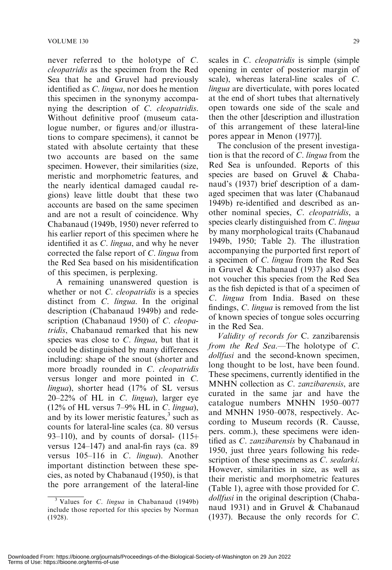never referred to the holotype of C. cleopatridis as the specimen from the Red Sea that he and Gruvel had previously identified as C. lingua, nor does he mention this specimen in the synonymy accompanying the description of C. cleopatridis. Without definitive proof (museum catalogue number, or figures and/or illustrations to compare specimens), it cannot be stated with absolute certainty that these two accounts are based on the same specimen. However, their similarities (size, meristic and morphometric features, and the nearly identical damaged caudal regions) leave little doubt that these two accounts are based on the same specimen and are not a result of coincidence. Why Chabanaud (1949b, 1950) never referred to his earlier report of this specimen where he identified it as C. lingua, and why he never corrected the false report of C. lingua from the Red Sea based on his misidentification of this specimen, is perplexing.

A remaining unanswered question is whether or not *C. cleopatridis* is a species distinct from *C. lingua*. In the original description (Chabanaud 1949b) and redescription (Chabanaud 1950) of C. cleopatridis, Chabanaud remarked that his new species was close to C. *lingua*, but that it could be distinguished by many differences including: shape of the snout (shorter and more broadly rounded in C. *cleopatridis* versus longer and more pointed in C. lingua), shorter head (17% of SL versus 20–22% of HL in C. lingua), larger eye  $(12\% \text{ of HL}$  versus 7–9% HL in C. lingua), and by its lower meristic features, $3 \text{ such as}$ counts for lateral-line scales (ca. 80 versus 93–110), and by counts of dorsal-  $(115+)$ versus 124–147) and anal-fin rays (ca. 89 versus 105–116 in C. lingua). Another important distinction between these species, as noted by Chabanaud (1950), is that the pore arrangement of the lateral-line scales in *C. cleopatridis* is simple (simple opening in center of posterior margin of scale), whereas lateral-line scales of C. lingua are diverticulate, with pores located at the end of short tubes that alternatively open towards one side of the scale and then the other [description and illustration of this arrangement of these lateral-line pores appear in Menon (1977)].

The conclusion of the present investigation is that the record of  $C$ . *lingua* from the Red Sea is unfounded. Reports of this species are based on Gruvel & Chabanaud's (1937) brief description of a damaged specimen that was later (Chabanaud 1949b) re-identified and described as another nominal species, C. cleopatridis, a species clearly distinguished from C. lingua by many morphological traits (Chabanaud 1949b, 1950; Table 2). The illustration accompanying the purported first report of a specimen of C. lingua from the Red Sea in Gruvel & Chabanaud (1937) also does not voucher this species from the Red Sea as the fish depicted is that of a specimen of C. lingua from India. Based on these findings, C. lingua is removed from the list of known species of tongue soles occurring in the Red Sea.

Validity of records for C. zanzibarensis from the Red Sea.—The holotype of C. dollfusi and the second-known specimen, long thought to be lost, have been found. These specimens, currently identified in the MNHN collection as C. zanzibarensis, are curated in the same jar and have the catalogue numbers MNHN 1950–0077 and MNHN 1950–0078, respectively. According to Museum records (R. Causse, pers. comm.), these specimens were identified as C. zanzibarensis by Chabanaud in 1950, just three years following his redescription of these specimens as C. sealarki. However, similarities in size, as well as their meristic and morphometric features (Table 1), agree with those provided for C. dollfusi in the original description (Chabanaud 1931) and in Gruvel & Chabanaud (1937). Because the only records for C.

 $3$  Values for *C. lingua* in Chabanaud (1949b) include those reported for this species by Norman (1928).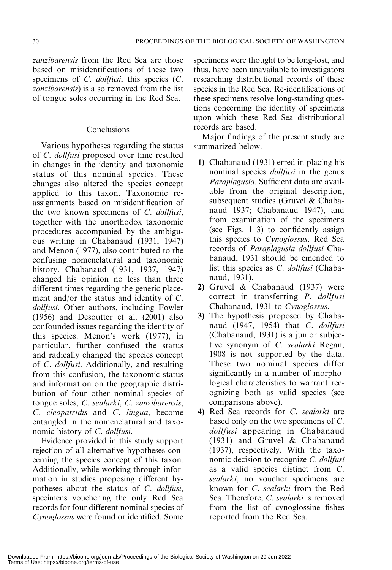zanzibarensis from the Red Sea are those based on misidentifications of these two specimens of C. dollfusi, this species (C. zanzibarensis) is also removed from the list of tongue soles occurring in the Red Sea.

## Conclusions

Various hypotheses regarding the status of C. dollfusi proposed over time resulted in changes in the identity and taxonomic status of this nominal species. These changes also altered the species concept applied to this taxon. Taxonomic reassignments based on misidentification of the two known specimens of C. dollfusi, together with the unorthodox taxonomic procedures accompanied by the ambiguous writing in Chabanaud (1931, 1947) and Menon (1977), also contributed to the confusing nomenclatural and taxonomic history. Chabanaud (1931, 1937, 1947) changed his opinion no less than three different times regarding the generic placement and/or the status and identity of C. dollfusi. Other authors, including Fowler (1956) and Desoutter et al. (2001) also confounded issues regarding the identity of this species. Menon's work (1977), in particular, further confused the status and radically changed the species concept of C. dollfusi. Additionally, and resulting from this confusion, the taxonomic status and information on the geographic distribution of four other nominal species of tongue soles, C. sealarki, C. zanzibarensis, C. cleopatridis and C. lingua, become entangled in the nomenclatural and taxonomic history of C. dollfusi.

Evidence provided in this study support rejection of all alternative hypotheses concerning the species concept of this taxon. Additionally, while working through information in studies proposing different hypotheses about the status of C. dollfusi, specimens vouchering the only Red Sea records for four different nominal species of Cynoglossus were found or identified. Some specimens were thought to be long-lost, and thus, have been unavailable to investigators researching distributional records of these species in the Red Sea. Re-identifications of these specimens resolve long-standing questions concerning the identity of specimens upon which these Red Sea distributional records are based.

Major findings of the present study are summarized below.

- 1) Chabanaud (1931) erred in placing his nominal species *dollfusi* in the genus Paraplagusia. Sufficient data are available from the original description, subsequent studies (Gruvel & Chabanaud 1937; Chabanaud 1947), and from examination of the specimens (see Figs.  $1-3$ ) to confidently assign this species to Cynoglossus. Red Sea records of Paraplagusia dollfusi Chabanaud, 1931 should be emended to list this species as C. dollfusi (Chabanaud, 1931).
- 2) Gruvel & Chabanaud (1937) were correct in transferring P. dollfusi Chabanaud, 1931 to Cynoglossus.
- 3) The hypothesis proposed by Chabanaud (1947, 1954) that C. dollfusi (Chabanaud, 1931) is a junior subjective synonym of C. sealarki Regan, 1908 is not supported by the data. These two nominal species differ significantly in a number of morphological characteristics to warrant recognizing both as valid species (see comparisons above).
- 4) Red Sea records for C. sealarki are based only on the two specimens of C. dollfusi appearing in Chabanaud (1931) and Gruvel & Chabanaud (1937), respectively. With the taxonomic decision to recognize C. dollfusi as a valid species distinct from C. sealarki, no voucher specimens are known for C. sealarki from the Red Sea. Therefore, C. sealarki is removed from the list of cynoglossine fishes reported from the Red Sea.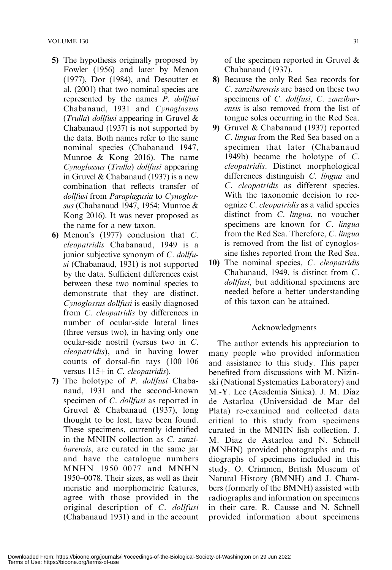- 5) The hypothesis originally proposed by Fowler (1956) and later by Menon (1977), Dor (1984), and Desoutter et al. (2001) that two nominal species are represented by the names P. dollfusi Chabanaud, 1931 and Cynoglossus (Trulla) dollfusi appearing in Gruvel & Chabanaud (1937) is not supported by the data. Both names refer to the same nominal species (Chabanaud 1947, Munroe & Kong 2016). The name Cynoglossus (Trulla) dollfusi appearing in Gruvel & Chabanaud (1937) is a new combination that reflects transfer of dollfusi from Paraplagusia to Cynoglossus (Chabanaud 1947, 1954; Munroe & Kong 2016). It was never proposed as the name for a new taxon.
- 6) Menon's (1977) conclusion that C. cleopatridis Chabanaud, 1949 is a junior subjective synonym of C. dollfusi (Chabanaud, 1931) is not supported by the data. Sufficient differences exist between these two nominal species to demonstrate that they are distinct. Cynoglossus dollfusi is easily diagnosed from C. cleopatridis by differences in number of ocular-side lateral lines (three versus two), in having only one ocular-side nostril (versus two in C. cleopatridis), and in having lower counts of dorsal-fin rays (100–106 versus  $115+$  in C. cleopatridis).
- 7) The holotype of P. dollfusi Chabanaud, 1931 and the second-known specimen of C. *dollfusi* as reported in Gruvel & Chabanaud (1937), long thought to be lost, have been found. These specimens, currently identified in the MNHN collection as C. zanzibarensis, are curated in the same jar and have the catalogue numbers MNHN 1950–0077 and MNHN 1950–0078. Their sizes, as well as their meristic and morphometric features, agree with those provided in the original description of C. dollfusi (Chabanaud 1931) and in the account

of the specimen reported in Gruvel & Chabanaud (1937).

- 8) Because the only Red Sea records for C. zanzibarensis are based on these two specimens of C. dollfusi, C. zanzibarensis is also removed from the list of tongue soles occurring in the Red Sea.
- 9) Gruvel & Chabanaud (1937) reported C. lingua from the Red Sea based on a specimen that later (Chabanaud 1949b) became the holotype of C. cleopatridis. Distinct morphological differences distinguish C. lingua and C. cleopatridis as different species. With the taxonomic decision to recognize C. cleopatridis as a valid species distinct from C. lingua, no voucher specimens are known for C. lingua from the Red Sea. Therefore, C. lingua is removed from the list of cynoglossine fishes reported from the Red Sea.
- 10) The nominal species, C. cleopatridis Chabanaud, 1949, is distinct from C. dollfusi, but additional specimens are needed before a better understanding of this taxon can be attained.

# Acknowledgments

The author extends his appreciation to many people who provided information and assistance to this study. This paper benefited from discussions with M. Nizinski (National Systematics Laboratory) and M.-Y. Lee (Academia Sinica). J. M. Díaz de Astarloa (Universidad de Mar del Plata) re-examined and collected data critical to this study from specimens curated in the MNHN fish collection. J. M. Díaz de Astarloa and N. Schnell (MNHN) provided photographs and radiographs of specimens included in this study. O. Crimmen, British Museum of Natural History (BMNH) and J. Chambers (formerly of the BMNH) assisted with radiographs and information on specimens in their care. R. Causse and N. Schnell provided information about specimens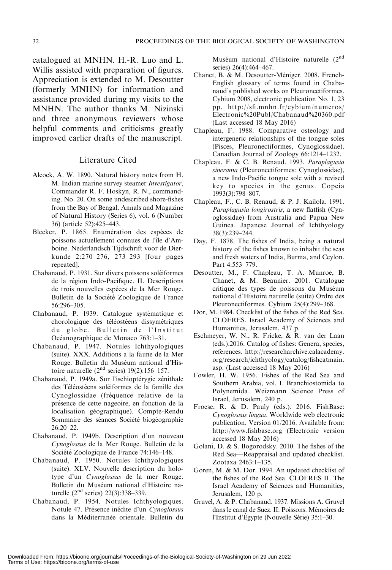catalogued at MNHN. H.-R. Luo and L. Willis assisted with preparation of figures. Appreciation is extended to M. Desoutter (formerly MNHN) for information and assistance provided during my visits to the MNHN. The author thanks M. Nizinski and three anonymous reviewers whose helpful comments and criticisms greatly improved earlier drafts of the manuscript.

#### Literature Cited

- Alcock, A. W. 1890. Natural history notes from H. M. Indian marine survey steamer Investigator, Commander R. F. Hoskyn, R. N., commanding. No. 20. On some undescribed shore-fishes from the Bay of Bengal. Annals and Magazine of Natural History (Series 6), vol. 6 (Number 36) (article 52):425–443.
- Bleeker, P. 1865. Enumération des espèces de poissons actuellement connues de l'île d'Amboine. Nederlandsch Tijdschrift voor de Dierkunde 2:270–276, 273–293 [four pages repeated].
- Chabanaud, P. 1931. Sur divers poissons soléiformes de la région Indo-Pacifique. II. Descriptions de trois nouvelles espéces de la Mer Rouge. Bulletin de la Société Zoologique de France 56:296–305.
- Chabanaud, P. 1939. Catalogue systématique et chorologique des téléostéens dissymétriques du globe. Bulletin de l'Institut Océanographique de Monaco 763:1–31.
- Chabanaud, P. 1947. Notules Ichthyologiques (suite). XXX. Additions a la faune de la Mer Rouge. Bulletin du Muséum national d'Histoire naturelle  $(2<sup>nd</sup>$  series) 19(2):156–157.
- Chabanaud, P. 1949a. Sur l'ischioptérygie zénithale des Téléostéens soléiformes de la famille des Cynoglossidae (fréquence relative de la présence de cette nageoire, en fonction de la localisation géographique). Compte-Rendu Sommaire des séances Société biogéographie 26:20–22.
- Chabanaud, P. 1949b. Description d'un nouveau Cynoglossus de la Mer Rouge. Bulletin de la Société Zoologique de France 74:146–148.
- Chabanaud, P. 1950. Notules Ichthyologiques (suite). XLV. Nouvelle description du holotype d'un Cynoglossus de la mer Rouge. Bulletin du Muséum national d'Histoire naturelle (2nd series) 22(3):338–339.
- Chabanaud, P. 1954. Notules Ichthyologiques. Notule 47. Présence inédite d'un Cynoglossus dans la Méditerranée orientale. Bulletin du

Muséum national d'Histoire naturelle (2nd series) 26(4):464-467.

- Chanet, B. & M. Desoutter-Méniger. 2008. French-English glossary of terms found in Chabanaud's published works on Pleuronectiformes. Cybium 2008, electronic publication No. 1, 23 pp. http://sfi.mnhn.fr/cybium/numeros/ Electronic%20Publ/Chabanaud%20360.pdf (Last accessed 18 May 2016)
- Chapleau, F. 1988. Comparative osteology and intergeneric relationships of the tongue soles (Pisces, Pleuronectiformes, Cynoglossidae). Canadian Journal of Zoology 66:1214–1232.
- Chapleau, F. & C. B. Renaud. 1993. Paraplagusia sinerama (Pleuronectiformes: Cynoglossidae), a new Indo-Pacific tongue sole with a revised key to species in the genus. Copeia 1993(3):798–807.
- Chapleau, F., C. B. Renaud, & P. J. Kailola. 1991. Paraplagusia longirostris, a new flatfish (Cynoglossidae) from Australia and Papua New Guinea. Japanese Journal of Ichthyology 38(3):239–244.
- Day, F. 1878. The fishes of India, being a natural history of the fishes known to inhabit the seas and fresh waters of India, Burma, and Ceylon. Part 4:553–779.
- Desoutter, M., F. Chapleau, T. A. Munroe, B. Chanet, & M. Beaunier. 2001. Catalogue critique des types de poissons du Muséum national d'Histoire naturelle (suite) Ordre des Pleuronectiformes. Cybium 25(4):299–368.
- Dor, M. 1984. Checklist of the fishes of the Red Sea. CLOFRES. Israel Academy of Sciences and Humanities, Jerusalem, 437 p.
- Eschmeyer, W. N., R. Fricke, & R. van der Laan (eds.).2016. Catalog of fishes: Genera, species, references. http://researcharchive.calacademy. org/research/ichthyology/catalog/fishcatmain. asp. (Last accessed 18 May 2016)
- Fowler, H. W. 1956. Fishes of the Red Sea and Southern Arabia, vol. I. Branchiostomida to Polynemida. Weizmann Science Press of Israel, Jerusalem, 240 p.
- Froese, R. & D. Pauly (eds.). 2016. FishBase: Cynoglossus lingua. Worldwide web electronic publication. Version 01/2016. Available from: http://www.fishbase.org (Electronic version accessed 18 May 2016)
- Golani, D. & S. Bogorodsky. 2010. The fishes of the Red Sea—Reappraisal and updated checklist. Zootaxa 2463:1–135.
- Goren, M. & M. Dor. 1994. An updated checklist of the fishes of the Red Sea. CLOFRES II. The Israel Academy of Sciences and Humanities, Jerusalem, 120 p.
- Gruvel, A. & P. Chabanaud. 1937. Missions A. Gruvel dans le canal de Suez. II. Poissons. Mémoires de l'Institut d'Égypte (Nouvelle Série) 35:1–30.